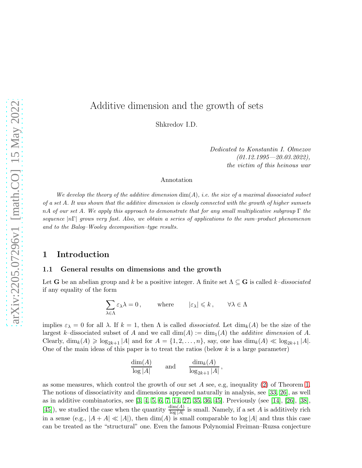# arXiv:2205.07296v1 [math.CO] 15 May 2022 [arXiv:2205.07296v1 \[math.CO\] 15 May 2022](http://arxiv.org/abs/2205.07296v1)

# Additive dimension and the growth of sets

Shkredov I.D.

Dedicated to Konstantin I. Olmezov  $(01.12.1995 - 20.03.2022)$ the victim of this heinous war

### Annotation

We develop the theory of the additive dimension  $\dim(A)$ , i.e. the size of a maximal dissociated subset of a set A. It was shown that the additive dimension is closely connected with the growth of higher sumsets nA of our set A. We apply this approach to demonstrate that for any small multiplicative subgroup  $\Gamma$  the sequence  $|n\Gamma|$  grows very fast. Also, we obtain a series of applications to the sum–product phenomenon and to the Balog–Wooley decomposition–type results.

### 1 Introduction

### 1.1 General results on dimensions and the growth

Let **G** be an abelian group and k be a positive integer. A finite set  $\Lambda \subseteq \mathbf{G}$  is called k–dissociated if any equality of the form

$$
\sum_{\lambda \in \Lambda} \varepsilon_\lambda \lambda = 0, \qquad \text{where} \qquad |\varepsilon_\lambda| \leqslant k \,, \qquad \forall \lambda \in \Lambda
$$

implies  $\varepsilon_{\lambda} = 0$  for all  $\lambda$ . If  $k = 1$ , then  $\Lambda$  is called *dissociated*. Let  $\dim_k(A)$  be the size of the largest k–dissociated subset of A and we call  $\dim(A) := \dim_1(A)$  the *additive dimension* of A. Clearly,  $\dim_k(A) \geqslant \log_{2k+1} |A|$  and for  $A = \{1, 2, \ldots, n\}$ , say, one has  $\dim_k(A) \ll \log_{2k+1} |A|$ . One of the main ideas of this paper is to treat the ratios (below  $k$  is a large parameter)

$$
\frac{\dim(A)}{\log|A|} \qquad \text{and} \qquad \frac{\dim_k(A)}{\log_{2k+1}|A|}
$$

,

as some measures, which control the growth of our set A see, e.g, inequality [\(2\)](#page-1-0) of Theorem [1.](#page-1-1) The notions of dissociativity and dimensions appeared naturally in analysis, see [\[33,](#page-38-0) [26\]](#page-38-1), as well as in additive combinatorics, see [\[3,](#page-36-0) [4,](#page-36-1) [5,](#page-36-2) [6,](#page-36-3) [7,](#page-36-4) [14,](#page-37-0) [27,](#page-38-2) [35,](#page-38-3) [36,](#page-38-4) [45\]](#page-39-0). Previously (see [\[14\]](#page-37-0), [\[26\]](#page-38-1), [\[38\]](#page-38-5), [\[45\]](#page-39-0)), we studied the case when the quantity  $\frac{\dim(A)}{\log|A|}$  is small. Namely, if a set A is additively rich in a sense (e.g.,  $|A + A| \ll |A|$ ), then  $\dim(A)$  is small comparable to  $\log|A|$  and thus this case can be treated as the "structural" one. Even the famous Polynomial Freiman–Ruzsa conjecture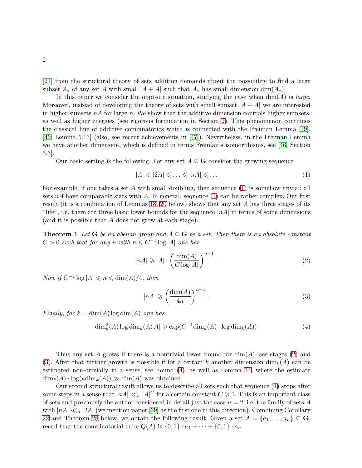[\[21\]](#page-37-1) from the structural theory of sets addition demands about the possibility to find a large subset  $A_*$  of any set A with small  $|A + A|$  such that  $A_*$  has small dimension dim $(A_*)$ .

In this paper we consider the opposite situation, studying the case when  $\dim(A)$  is *large*. Moreover, instead of developing the theory of sets with small sumset  $|A + A|$  we are interested in higher sumsets  $nA$  for large n. We show that the additive dimension controls higher sumsets, as well as higher energies (see rigorous formulation in Section [2\)](#page-5-0). This phenomenon continues the classical line of additive combinatorics which is connected with the Freiman Lemma [\[19\]](#page-37-2), [\[46,](#page-39-1) Lemma 5.13] (also, see recent achievements in [\[47\]](#page-39-2)). Nevertheless, in the Freiman Lemma we have another dimension, which is defined in terms Freiman's isomorphisms, see [\[46,](#page-39-1) Section 5.3].

Our basic setting is the following. For any set  $A \subseteq G$  consider the growing sequence

<span id="page-1-2"></span>
$$
|A| \leqslant |2A| \leqslant \ldots \leqslant |nA| \leqslant \ldots \tag{1}
$$

For example, if one takes a set A with small doubling, then sequence  $(1)$  is somehow trivial: all sets  $nA$  have comparable sizes with A. In general, sequence [\(1\)](#page-1-2) can be rather complex. Our first result (it is a combination of Lemmas [18,](#page-11-0) [20](#page-12-0) below) shows that any set A has three stages of its "life", i.e. there are three basic lower bounds for the sequence  $|nA|$  in terms of some dimensions (and it is possible that A does not grow at each stage).

**Theorem 1** Let **G** be an abelian group and  $A \subseteq G$  be a set. Then there is an absolute constant  $C > 0$  such that for any n with  $n \leq C^{-1} \log |A|$  one has

<span id="page-1-0"></span>
$$
|nA| \geq |A| \cdot \left(\frac{\dim(A)}{C \log|A|}\right)^{n-1} . \tag{2}
$$

Now if  $C^{-1} \log |A| \leq n \leq \dim(A)/4$ , then

<span id="page-1-3"></span>
$$
|nA| \geqslant \left(\frac{\dim(A)}{4n}\right)^{n-1}.
$$
\n(3)

Finally, for  $k = \dim(A) \log \dim(A)$  one has

<span id="page-1-1"></span>
$$
|\dim_k^2(A)\log \dim_k(A) A| \ge \exp(C^{-1} \dim_k(A) \cdot \log \dim_k(A)). \tag{4}
$$

Thus any set A grows if there is a nontrivial lower bound for  $\dim(A)$ , see stages [\(2\)](#page-1-0) and [\(3\)](#page-1-3). After that further growth is possible if for a certain k another dimension  $\dim_k(A)$  can be estimated non–trivially in a sense, see bound [\(4\)](#page-1-1), as well as Lemma [14,](#page-9-0) where the estimate  $\dim_k(A) \cdot \log(k \dim_k(A)) \gg \dim(A)$  was obtained.

Our second structural result allows us to describe all sets such that sequence [\(1\)](#page-1-2) stops after some steps in a sense that  $|nA| \ll_n |A|^C$  for a certain constant  $C \geq 1$ . This is an important class of sets and previously the author considered in detail just the case  $n = 2$ , i.e. the family of sets A with  $|nA| \ll_n |2A|$  (we mention paper [\[39\]](#page-38-6) as the first one in this direction). Combining Corollary [22](#page-14-0) and Theorem [28](#page-18-0) below, we obtain the following result. Given a set  $A = \{a_1, \ldots, a_n\} \subseteq \mathbf{G}$ , recall that the combinatorial cube  $Q(A)$  is  $\{0,1\} \cdot a_1 + \cdots + \{0,1\} \cdot a_n$ .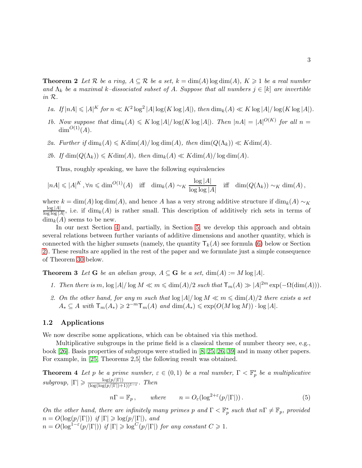**Theorem 2** Let R be a ring,  $A \subseteq \mathcal{R}$  be a set,  $k = \dim(A) \log \dim(A)$ ,  $K \geq 1$  be a real number and  $\Lambda_k$  be a maximal k–dissociated subset of A. Suppose that all numbers  $j \in [k]$  are invertible in R.

- 1a. If  $|nA| \leqslant |A|^K$  for  $n \ll K^2 \log^2 |A| \log(K \log |A|)$ , then  $\dim_k(A) \ll K \log |A| / \log(K \log |A|)$ .
- 1b. Now suppose that  $\dim_k(A) \leq K \log |A| / \log(K \log |A|)$ . Then  $|nA| = |A|^{O(K)}$  for all  $n =$  $\dim^{O(1)}(A)$ .
- 2a. Further if  $\dim_k(A) \leqslant K \dim(A) / \log \dim(A)$ , then  $\dim(Q(\Lambda_k)) \ll K \dim(A)$ .
- 2b. If  $\dim(Q(\Lambda_k)) \leq K \dim(A)$ , then  $\dim_k(A) \ll K \dim(A) / \log \dim(A)$ .

Thus, roughly speaking, we have the following equivalencies

$$
|nA| \leqslant |A|^K \,, \forall n \leqslant \dim^{O(1)}(A) \quad \text{iff} \quad \dim_k(A) \sim_K \frac{\log|A|}{\log\log|A|} \quad \text{iff} \quad \dim(Q(\Lambda_k)) \sim_K \dim(A) \,,
$$

where  $k = \dim(A) \log \dim(A)$ , and hence A has a very strong additive structure if  $\dim_k(A) \sim_K$  $\log|A|$  $\frac{\log|A|}{\log\log|A|}$ , i.e. if  $\dim_k(A)$  is rather small. This description of additively rich sets in terms of  $\dim_k(A)$  seems to be new.

In our next Section [4](#page-19-0) and, partially, in Section [5,](#page-24-0) we develop this approach and obtain several relations between further variants of additive dimensions and another quantity, which is connected with the higher sumsets (namely, the quantity  $T_k(A)$  see formula [\(6\)](#page-3-0) below or Section [2\)](#page-5-0). These results are applied in the rest of the paper and we formulate just a simple consequence of Theorem [30](#page-20-0) below.

<span id="page-2-1"></span>**Theorem 3** Let **G** be an abelian group,  $A \subseteq G$  be a set,  $\dim(A) := M \log |A|$ .

- 1. Then there is m,  $\log |A|/\log M \ll m \leq \dim(A)/2$  such that  $\mathsf{T}_m(A) \gg |A|^{2m} \exp(-\Omega(\dim(A))).$
- 2. On the other hand, for any m such that  $\log |A|/\log M \ll m \leq \dim(A)/2$  there exists a set  $A_* \subseteq A$  with  $\mathsf{T}_m(A_*) \geqslant 2^{-m} \mathsf{T}_m(A)$  and  $\dim(A_*) \leqslant \exp(O(M \log M)) \cdot \log |A|$ .

### 1.2 Applications

We now describe some applications, which can be obtained via this method.

Multiplicative subgroups in the prime field is a classical theme of number theory see, e.g., book [\[26\]](#page-38-1). Basis properties of subgroups were studied in [\[8,](#page-37-3) [25,](#page-38-7) [26,](#page-38-1) [39\]](#page-38-6) and in many other papers. For example, in [\[25,](#page-38-7) Theorems 2,5] the following result was obtained.

**Theorem 4** Let p be a prime number,  $\varepsilon \in (0,1)$  be a real number,  $\Gamma < \mathbb{F}_p^*$  be a multiplicative  $subgroup, |\Gamma| \geqslant \frac{\log(p/|\Gamma|)}{(\log(\log(p/|\Gamma|)+$  $\frac{\log(p/\vert 1\vert)}{(\log(\log(p/\vert \Gamma\vert)+1))^{1-\varepsilon}}.$  Then

<span id="page-2-0"></span>
$$
n\Gamma = \mathbb{F}_p, \qquad \text{where} \qquad n = O_{\varepsilon}(\log^{2+\varepsilon}(p/|\Gamma|)). \tag{5}
$$

On the other hand, there are infinitely many primes p and  $\Gamma < \mathbb{F}_p^*$  such that  $n\Gamma \neq \mathbb{F}_p$ , provided  $n = O(\log(p/|\Gamma|))$  if  $|\Gamma| \geqslant \log(p/|\Gamma|)$ , and

 $n = O(\log^{1-\varepsilon}(p/|\Gamma|))$  if  $|\Gamma| \geqslant \log^C(p/|\Gamma|)$  for any constant  $C \geqslant 1$ .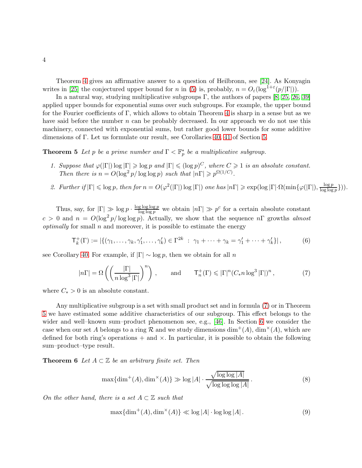Theorem [4](#page-2-0) gives an affirmative answer to a question of Heilbronn, see [\[24\]](#page-37-4). As Konyagin writes in [\[25\]](#page-38-7) the conjectured upper bound for n in [\(5\)](#page-2-0) is, probably,  $n = O_{\varepsilon}(\log^{1+\varepsilon}(p/|\Gamma|)).$ 

In a natural way, studying multiplicative subgroups Γ, the authors of papers  $[8, 25, 26, 39]$  $[8, 25, 26, 39]$  $[8, 25, 26, 39]$  $[8, 25, 26, 39]$ applied upper bounds for exponential sums over such subgroups. For example, the upper bound for the Fourier coefficients of Γ, which allows to obtain Theorem [4](#page-2-0) is sharp in a sense but as we have said before the number  $n$  can be probably decreased. In our approach we do not use this machinery, connected with exponential sums, but rather good lower bounds for some additive dimensions of Γ. Let us formulate our result, see Corollaries [40,](#page-28-0) [41](#page-28-1) of Section [5.](#page-24-0)

**Theorem 5** Let p be a prime number and  $\Gamma < \mathbb{F}_p^*$  be a multiplicative subgroup.

- 1. Suppose that  $\varphi(|\Gamma|) \log |\Gamma| \geqslant \log p$  and  $|\Gamma| \leqslant (\log p)^C$ , where  $C \geqslant 1$  is an absolute constant. Then there is  $n = O(\log^2 p / \log \log p)$  such that  $|n\Gamma| \geq p^{\Omega(1/C)}$ .
- <span id="page-3-2"></span>2. Further if  $|\Gamma| \leqslant \log p$ , then for  $n = O(\varphi^2(|\Gamma|) \log |\Gamma|)$  one has  $|n\Gamma| \geqslant \exp(\log |\Gamma| \cdot \Omega(\min\{\varphi(|\Gamma|), \frac{\log p}{\log \log n})\})$  $\frac{\log p}{\log \log p}\})$ ).

Thus, say, for  $|\Gamma| \gg \log p \cdot \frac{\log \log \log p}{\log \log p}$  $\frac{g \log \log p}{\log \log p}$  we obtain  $|n\Gamma| \gg p^c$  for a certain absolute constant  $c > 0$  and  $n = O(\log^2 p/\log \log p)$ . Actually, we show that the sequence  $n\Gamma$  growths almost *optimally* for small  $n$  and moreover, it is possible to estimate the energy

<span id="page-3-0"></span>
$$
\mathsf{T}_{k}^{+}(\Gamma) := |\{(\gamma_{1}, \ldots, \gamma_{k}, \gamma_{1}', \ldots, \gamma_{k}') \in \Gamma^{2k} : \gamma_{1} + \cdots + \gamma_{k} = \gamma_{1}' + \cdots + \gamma_{k}'\}|, \tag{6}
$$

see Corollary [40.](#page-28-0) For example, if  $|\Gamma| \sim \log p$ , then we obtain for all n

<span id="page-3-1"></span>
$$
|n\Gamma| = \Omega\left(\left(\frac{|\Gamma|}{n\log^3|\Gamma|}\right)^n\right), \quad \text{and} \quad \mathsf{T}_n^+(\Gamma) \leq |\Gamma|^n (C_* n \log^3 |\Gamma|)^n, \tag{7}
$$

where  $C_* > 0$  is an absolute constant.

Any multiplicative subgroup is a set with small product set and in formula [\(7\)](#page-3-1) or in Theorem [5](#page-3-2) we have estimated some additive characteristics of our subgroup. This effect belongs to the wider and well–known sum–product phenomenon see, e.g., [\[46\]](#page-39-1). In Section [6](#page-29-0) we consider the case when our set A belongs to a ring R and we study dimensions  $\dim^+(A)$ ,  $\dim^{\times}(A)$ , which are defined for both ring's operations  $+$  and  $\times$ . In particular, it is possible to obtain the following sum–product–type result.

**Theorem 6** Let  $A \subset \mathbb{Z}$  be an arbitrary finite set. Then

$$
\max\{\dim^+(A), \dim^\times(A)\} \gg \log|A| \cdot \frac{\sqrt{\log\log|A|}}{\sqrt{\log\log\log|A|}}.\tag{8}
$$

On the other hand, there is a set  $A \subset \mathbb{Z}$  such that

<span id="page-3-3"></span>
$$
\max\{\dim^+(A), \dim^\times(A)\} \ll \log|A| \cdot \log\log|A|.
$$
 (9)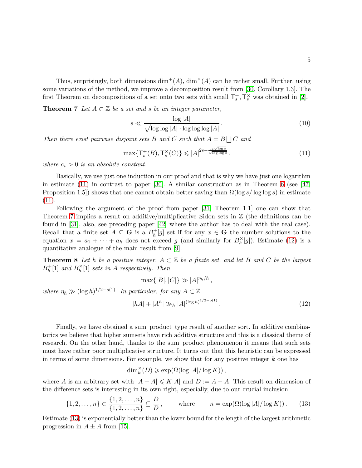Thus, surprisingly, both dimensions  $\dim^+(A)$ ,  $\dim^{\times}(A)$  can be rather small. Further, using some variations of the method, we improve a decomposition result from [\[30,](#page-38-8) Corollary 1.3]. The first Theorem on decompositions of a set onto two sets with small  $\mathsf{T}_s^+$ ,  $\mathsf{T}_s^{\times}$  was obtained in [\[2\]](#page-36-5).

**Theorem 7** Let  $A \subset \mathbb{Z}$  be a set and s be an integer parameter,

$$
s \ll \frac{\log |A|}{\sqrt{\log \log |A| \cdot \log \log \log |A|}}.
$$
\n(10)

Then there exist pairwise disjoint sets B and C such that  $A = B \bigcup C$  and

<span id="page-4-0"></span>
$$
\max\{T_s^+(B), T_s^\times(C)\} \leqslant |A|^{2s - \frac{c_*\sqrt{\log s}}{\sqrt{\log \log s}}},\tag{11}
$$

where  $c_* > 0$  is an absolute constant.

Basically, we use just one induction in our proof and that is why we have just one logarithm in estimate [\(11\)](#page-4-0) in contrast to paper [\[30\]](#page-38-8). A similar construction as in Theorem [6](#page-3-3) (see [\[47,](#page-39-2) Proposition 1.5) shows that one cannot obtain better saving than  $\Omega(\log s / \log \log s)$  in estimate  $(11).$  $(11).$ 

Following the argument of the proof from paper [\[31,](#page-38-9) Theorem 1.1] one can show that Theorem [7](#page-4-0) implies a result on additive/multiplicative Sidon sets in  $\mathbb Z$  (the definitions can be found in [\[31\]](#page-38-9), also, see preceding paper [\[42\]](#page-38-10) where the author has to deal with the real case). Recall that a finite set  $A \subseteq \mathbf{G}$  is a  $B_h^+$  $\mathfrak{f}_h^+[g]$  set if for any  $x \in \mathbf{G}$  the number solutions to the equation  $x = a_1 + \cdots + a_h$  does not exceed g (and similarly for  $B_h^{\times}$  $\binom{X}{h}[g]$ . Estimate [\(12\)](#page-4-1) is a quantitative analogue of the main result from [\[9\]](#page-37-5).

**Theorem 8** Let h be a positive integer,  $A \subset \mathbb{Z}$  be a finite set, and let B and C be the largest  $B_h^+$  $h^+$ [1] and  $B_h^{\times}$  $\binom{X}{h}[1]$  sets in A respectively. Then

$$
\max\{|B|, |C|\} \gg |A|^{\eta_h/h},
$$
  
where  $\eta_h \gg (\log h)^{1/2 - o(1)}$ . In particular, for any  $A \subset \mathbb{Z}$   

$$
|hA| + |A^h| \gg_h |A|^{(\log h)^{1/2 - o(1)}}.
$$
 (12)

Finally, we have obtained a sum–product–type result of another sort. In additive combinatorics we believe that higher sumsets have rich additive structure and this is a classical theme of research. On the other hand, thanks to the sum–product phenomenon it means that such sets must have rather poor multiplicative structure. It turns out that this heuristic can be expressed in terms of some dimensions. For example, we show that for any positive integer  $k$  one has

<span id="page-4-1"></span>
$$
\dim_k^{\times}(D) \geqslant \exp(\Omega(\log |A|/\log K)),
$$

where A is an arbitrary set with  $|A + A| \le K|A|$  and  $D := A - A$ . This result on dimension of the difference sets is interesting in its own right, especially, due to our crucial inclusion

<span id="page-4-2"></span>
$$
\{1, 2, \dots, n\} \subset \frac{\{1, 2, \dots, n\}}{\{1, 2, \dots, n\}} \subseteq \frac{D}{D}, \qquad \text{where} \qquad n = \exp(\Omega(\log |A|/\log K)). \tag{13}
$$

Estimate [\(13\)](#page-4-2) is exponentially better than the lower bound for the length of the largest arithmetic progression in  $A \pm A$  from [\[15\]](#page-37-6).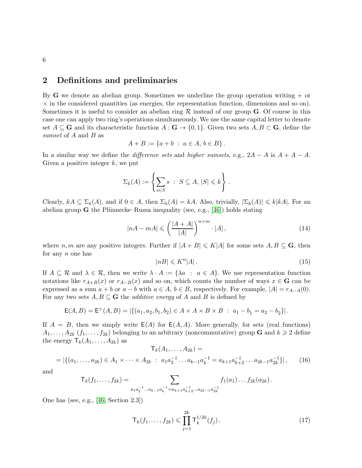# <span id="page-5-0"></span>2 Definitions and preliminaries

By  $G$  we denote an abelian group. Sometimes we underline the group operation writing  $+$  or  $\times$  in the considered quantities (as energies, the representation function, dimensions and so on). Sometimes it is useful to consider an abelian ring  $R$  instead of our group  $G$ . Of course in this case one can apply two ring's operations simultaneously. We use the same capital letter to denote set  $A \subseteq \mathbf{G}$  and its characteristic function  $A : \mathbf{G} \to \{0,1\}$ . Given two sets  $A, B \subset \mathbf{G}$ , define the sumset of A and B as

$$
A + B := \{a + b : a \in A, b \in B\}.
$$

In a similar way we define the *difference sets* and *higher sumsets*, e.g.,  $2A - A$  is  $A + A - A$ . Given a positive integer  $k$ , we put

$$
\Sigma_k(A) := \left\{ \sum_{s \in S} s \; : \; S \subseteq A, \, |S| \leq k \right\} \, .
$$

Clearly,  $kA \subseteq \Sigma_k(A)$ , and if  $0 \in A$ , then  $\Sigma_k(A) = kA$ . Also, trivially,  $|\Sigma_k(A)| \leq k|kA|$ . For an abelian group **G** the Plünnecke–Ruzsa inequality (see, e.g., [\[46\]](#page-39-1)) holds stating

<span id="page-5-1"></span>
$$
|nA - mA| \leqslant \left(\frac{|A + A|}{|A|}\right)^{n+m} \cdot |A| \,,\tag{14}
$$

where n, m are any positive integers. Further if  $|A + B| \le K|A|$  for some sets  $A, B \subseteq \mathbf{G}$ , then for any  $n$  one has

$$
|nB| \leqslant K^n |A| \,. \tag{15}
$$

If  $A \subseteq \mathcal{R}$  and  $\lambda \in \mathcal{R}$ , then we write  $\lambda \cdot A := {\lambda a : a \in A}$ . We use representation function notations like  $r_{A+B}(x)$  or  $r_{A-B}(x)$  and so on, which counts the number of ways  $x \in G$  can be expressed as a sum  $a + b$  or  $a - b$  with  $a \in A$ ,  $b \in B$ , respectively. For example,  $|A| = r_{A-A}(0)$ . For any two sets  $A, B \subseteq G$  the *additive energy* of A and B is defined by

$$
\mathsf{E}(A,B) = \mathsf{E}^+(A,B) = |\{(a_1,a_2,b_1,b_2) \in A \times A \times B \times B : a_1 - b_1 = a_2 - b_2\}|.
$$

If  $A = B$ , then we simply write  $E(A)$  for  $E(A, A)$ . More generally, for sets (real functions)  $A_1, \ldots, A_{2k}$   $(f_1, \ldots, f_{2k})$  belonging to an arbitrary (noncommutative) group **G** and  $k \geq 2$  define the energy  $\mathsf{T}_k(A_1,\ldots,A_{2k})$  as  $T_{1}(A_{1} \qquad A_{2k}) =$ 

$$
k^{(1)} \cdots, 12k = |\{(a_1, \ldots, a_{2k}) \in A_1 \times \cdots \times A_{2k} : a_1 a_2^{-1} \ldots a_{k-1} a_k^{-1} = a_{k+1} a_{k+2}^{-1} \ldots a_{2k-1} a_{2k}^{-1}\}|, \qquad (16)
$$

and

$$
\mathsf{T}_{k}(f_{1},\ldots,f_{2k})=\sum_{a_{1}a_{2}^{-1}\ldots a_{k-1}a_{k}^{-1}=a_{k+1}a_{k+2}^{-1}\ldots a_{2k-1}a_{2k}^{-1}}f_{1}(a_{1})\ldots f_{2k}(a_{2k}).
$$

One has (see, e.g., [\[46,](#page-39-1) Section 2.3])

<span id="page-5-2"></span>
$$
\mathsf{T}_{k}(f_{1},\ldots,f_{2k}) \leq \prod_{j=1}^{2k} \mathsf{T}_{k}^{1/2k}(f_{j}).
$$
\n(17)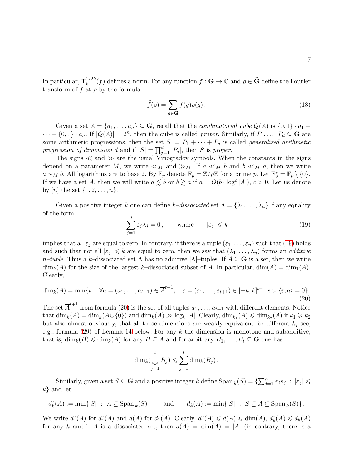In particular,  $\mathsf{T}_k^{1/2k}$  $\int_k^{1/2k}(f)$  defines a norm. For any function  $f: \mathbf{G} \to \mathbb{C}$  and  $\rho \in \widehat{\mathbf{G}}$  define the Fourier transform of f at  $\rho$  by the formula

$$
\widehat{f}(\rho) = \sum_{g \in \mathbf{G}} f(g)\rho(g). \tag{18}
$$

Given a set  $A = \{a_1, \ldots, a_n\} \subseteq \mathbf{G}$ , recall that the *combinatorial cube*  $Q(A)$  is  $\{0,1\} \cdot a_1 +$  $\cdots + \{0,1\} \cdot a_n$ . If  $|Q(A)| = 2^n$ , then the cube is called *proper*. Similarly, if  $P_1, \ldots, P_d \subseteq G$  are some arithmetic progressions, then the set  $S := P_1 + \cdots + P_d$  is called *generalized arithmetic* progression of dimension d and if  $|S| = \prod_{j=1}^{d} |P_j|$ , then S is proper.

The signs  $\ll$  and  $\gg$  are the usual Vinogradov symbols. When the constants in the signs depend on a parameter M, we write  $\ll_M$  and  $\gg_M$ . If  $a \ll_M b$  and  $b \ll_M a$ , then we write  $a \sim_M b$ . All logarithms are to base 2. By  $\mathbb{F}_p$  denote  $\mathbb{F}_p = \mathbb{Z}/p\mathbb{Z}$  for a prime p. Let  $\mathbb{F}_p^* = \mathbb{F}_p \setminus \{0\}$ . If we have a set A, then we will write  $a \lesssim b$  or  $b \gtrsim a$  if  $a = O(b \cdot \log^c |A|)$ ,  $c > 0$ . Let us denote by [n] the set  $\{1, 2, ..., n\}$ .

Given a positive integer k one can define k–dissociated set  $\Lambda = {\lambda_1, ..., \lambda_n}$  if any equality of the form

<span id="page-6-0"></span>
$$
\sum_{j=1}^{n} \varepsilon_j \lambda_j = 0, \quad \text{where} \quad |\varepsilon_j| \leq k \tag{19}
$$

implies that all  $\varepsilon_j$  are equal to zero. In contrary, if there is a tuple  $(\varepsilon_1, \ldots, \varepsilon_n)$  such that [\(19\)](#page-6-0) holds and such that not all  $|\varepsilon_i| \leq k$  are equal to zero, then we say that  $(\lambda_1, \dots, \lambda_n)$  forms an *additive* n–tuple. Thus a k–dissociated set  $\Lambda$  has no additive  $|\Lambda|$ –tuples. If  $A \subseteq G$  is a set, then we write  $\dim_k(A)$  for the size of the largest k–dissociated subset of A. In particular,  $\dim(A) = \dim_1(A)$ . Clearly,

<span id="page-6-1"></span>
$$
\dim_k(A) = \min\{t \; : \; \forall a = (a_1, \dots, a_{t+1}) \in \overline{A}^{t+1}, \; \exists \varepsilon = (\varepsilon_1, \dots, \varepsilon_{t+1}) \in [-k, k]^{t+1} \text{ s.t. } \langle \varepsilon, a \rangle = 0\}.
$$
\n(20)

The set  $\overline{A}^{t+1}$  from formula [\(20\)](#page-6-1) is the set of all tuples  $a_1, \ldots, a_{t+1}$  with different elements. Notice that  $\dim_k(A) = \dim_k(A \cup \{0\})$  and  $\dim_k(A) \gg \log_k |A|$ . Clearly,  $\dim_{k_1}(A) \leq \dim_{k_2}(A)$  if  $k_1 \geq k_2$ but also almost obviously, that all these dimensions are weakly equivalent for different  $k_j$  see, e.g., formula [\(29\)](#page-9-1) of Lemma [14](#page-9-0) below. For any  $k$  the dimension is monotone and subadditive, that is,  $\dim_k(B) \leq \dim_k(A)$  for any  $B \subseteq A$  and for arbitrary  $B_1, \ldots, B_t \subseteq G$  one has

$$
\dim_k(\bigcup_{j=1}^t B_j) \leqslant \sum_{j=1}^t \dim_k(B_j).
$$

Similarly, given a set  $S \subseteq G$  and a positive integer k define  $\text{Span}_k(S) = \{\sum_{j=1}^n \varepsilon_j s_j : |\varepsilon_j| \leq \varepsilon_j s_j\}$  $k$ } and let

 $d_k^*(A) := \min\{|S| \ : \ A \subseteq \operatorname{Span}_k\}$ (S)} and  $d_k(A) := \min\{|S| : S \subseteq A \subseteq \text{Span}_k(S)\}.$ 

We write  $d^*(A)$  for  $d_1^*(A)$  and  $d(A)$  for  $d_1(A)$ . Clearly,  $d^*(A) \leq d(A) \leq \dim(A)$ ,  $d_k^*(A) \leq d_k(A)$ for any k and if A is a dissociated set, then  $d(A) = \dim(A) = |A|$  (in contrary, there is a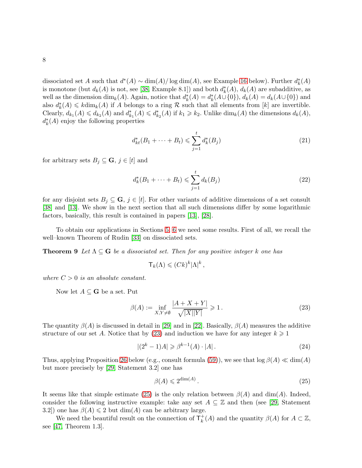dissociated set A such that  $d^*(A) \sim \dim(A)/\log \dim(A)$ , see Example [16](#page-10-0) below). Further  $d_k^*(A)$ is monotone (but  $d_k(A)$  is not, see [\[38,](#page-38-5) Example 8.1]) and both  $d_k^*(A)$ ,  $d_k(A)$  are subadditive, as well as the dimension  $\dim_k(A)$ . Again, notice that  $d_k^*(A) = d_k^*(A \cup \{0\})$ ,  $d_k(A) = d_k(A \cup \{0\})$  and also  $d_k^*(A) \leq k \dim_k(A)$  if A belongs to a ring R such that all elements from [k] are invertible. Clearly,  $d_{k_1}(A) \leq d_{k_2}(A)$  and  $d_{k_1}^*(A) \leq d_{k_2}^*(A)$  if  $k_1 \geq k_2$ . Unlike  $\dim_k(A)$  the dimensions  $d_k(A)$ ,  $d_k^*(A)$  enjoy the following properties

<span id="page-7-2"></span>
$$
d_{kt}^*(B_1 + \dots + B_t) \leq \sum_{j=1}^t d_k^*(B_j)
$$
\n(21)

for arbitrary sets  $B_j \subseteq \mathbf{G}, j \in [t]$  and

<span id="page-7-3"></span>
$$
d_k^*(B_1 + \dots + B_t) \le \sum_{j=1}^t d_k(B_j)
$$
\n(22)

for any disjoint sets  $B_j \subseteq \mathbf{G}, j \in [t]$ . For other variants of additive dimensions of a set consult [\[38\]](#page-38-5) and [\[13\]](#page-37-7). We show in the next section that all such dimensions differ by some logarithmic factors, basically, this result is contained in papers [\[13\]](#page-37-7), [\[28\]](#page-38-11).

<span id="page-7-4"></span>To obtain our applications in Sections [5,](#page-24-0) [6](#page-29-0) we need some results. First of all, we recall the well–known Theorem of Rudin [\[33\]](#page-38-0) on dissociated sets.

**Theorem 9** Let  $\Lambda \subseteq G$  be a dissociated set. Then for any positive integer k one has

$$
\mathsf{T}_k(\Lambda) \leqslant (Ck)^k |\Lambda|^k \,,
$$

where  $C > 0$  is an absolute constant.

Now let  $A \subseteq G$  be a set. Put

<span id="page-7-0"></span>
$$
\beta(A) := \inf_{X,Y \neq \emptyset} \frac{|A+X+Y|}{\sqrt{|X||Y|}} \geqslant 1. \tag{23}
$$

The quantity  $\beta(A)$  is discussed in detail in [\[29\]](#page-38-12) and in [\[22\]](#page-37-8). Basically,  $\beta(A)$  measures the additive structure of our set A. Notice that by [\(23\)](#page-7-0) and induction we have for any integer  $k \geq 1$ 

<span id="page-7-6"></span>
$$
|(2^k - 1)A| \geq \beta^{k-1}(A) \cdot |A|.
$$
 (24)

Thus, applying Proposition [26](#page-17-0) below (e.g., consult formula [\(59\)](#page-18-1)), we see that  $\log \beta(A) \ll \dim(A)$ but more precisely by [\[29,](#page-38-12) Statement 3.2] one has

<span id="page-7-1"></span>
$$
\beta(A) \leqslant 2^{\dim(A)}\,. \tag{25}
$$

It seems like that simple estimate [\(25\)](#page-7-1) is the only relation between  $\beta(A)$  and dim(A). Indeed, consider the following instructive example: take any set  $A \subseteq \mathbb{Z}$  and then (see [\[29,](#page-38-12) Statement 3.2) one has  $\beta(A) \leq 2$  but dim(A) can be arbitrary large.

<span id="page-7-5"></span>We need the beautiful result on the connection of  $\mathsf{T}_k^+$  $k<sup>+</sup>(A)$  and the quantity  $\beta(A)$  for  $A \subset \mathbb{Z}$ , see [\[47,](#page-39-2) Theorem 1.3].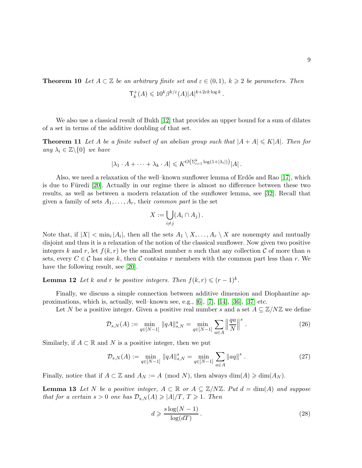**Theorem 10** Let  $A \subset \mathbb{Z}$  be an arbitrary finite set and  $\varepsilon \in (0,1)$ ,  $k \geqslant 2$  be parameters. Then  $\mathsf{T}^+_i$  $k_k^+(A) \leqslant 10^k \beta^{k/\varepsilon}(A) |A|^{k+2\varepsilon k \log k}.$ 

<span id="page-8-2"></span>We also use a classical result of Bukh [\[12\]](#page-37-9) that provides an upper bound for a sum of dilates of a set in terms of the additive doubling of that set.

**Theorem 11** Let A be a finite subset of an abelian group such that  $|A + A| \le K|A|$ . Then for any  $\lambda_i \in \mathbb{Z} \backslash \{0\}$  we have

$$
|\lambda_1 \cdot A + \dots + \lambda_k \cdot A| \leqslant K^{O\left(\sum_{i=1}^k \log(1+|\lambda_i|)\right)} |A| \, .
$$

Also, we need a relaxation of the well–known sunflower lemma of Erdős and Rao  $[17]$ , which is due to Füredi [\[20\]](#page-37-11). Actually in our regime there is almost no difference between these two results, as well as between a modern relaxation of the sunflower lemma, see [\[32\]](#page-38-13). Recall that given a family of sets  $A_1, \ldots, A_r$ , their *common part* is the set

$$
X := \bigcup_{i \neq j} (A_i \cap A_j).
$$

Note that, if  $|X| < \min_i |A_i|$ , then all the sets  $A_1 \setminus X, \ldots, A_r \setminus X$  are nonempty and mutually disjoint and thus it is a relaxation of the notion of the classical sunflower. Now given two positive integers k and r, let  $f(k, r)$  be the smallest number n such that any collection C of more than n sets, every  $C \in \mathcal{C}$  has size k, then  $\mathcal C$  contains r members with the common part less than r. We have the following result, see [\[20\]](#page-37-11).

<span id="page-8-0"></span>**Lemma 12** Let k and r be positive integers. Then  $f(k,r) \leqslant (r-1)^k$ .

Finally, we discuss a simple connection between additive dimension and Diophantine approximations, which is, actually, well–known see, e.g., [\[6\]](#page-36-3), [\[7\]](#page-36-4), [\[14\]](#page-37-0), [\[36\]](#page-38-4), [\[37\]](#page-38-14) etc.

Let N be a positive integer. Given a positive real number s and a set  $A \subseteq \mathbb{Z}/N\mathbb{Z}$  we define

$$
\mathcal{D}_{s,N}(A) := \min_{q \in [N-1]} \|qA\|_{s,N}^s = \min_{q \in [N-1]} \sum_{a \in A} \left\| \frac{qa}{N} \right\|^s. \tag{26}
$$

Similarly, if  $A \subset \mathbb{R}$  and N is a positive integer, then we put

$$
\mathcal{D}_{s,N}(A) := \min_{q \in [N-1]} \|qA\|_{s,N}^s = \min_{q \in [N-1]} \sum_{a \in A} \|aq\|^s \ . \tag{27}
$$

Finally, notice that if  $A \subset \mathbb{Z}$  and  $A_N := A \pmod{N}$ , then always  $\dim(A) \geqslant \dim(A_N)$ .

**Lemma 13** Let N be a positive integer,  $A \subset \mathbb{R}$  or  $A \subseteq \mathbb{Z}/N\mathbb{Z}$ . Put  $d = \dim(A)$  and suppose that for a certain  $s > 0$  one has  $\mathcal{D}_{s,N}(A) \geq |A|/T$ ,  $T \geq 1$ . Then

<span id="page-8-1"></span>
$$
d \geqslant \frac{s \log(N-1)}{\log(d)}.
$$
\n<sup>(28)</sup>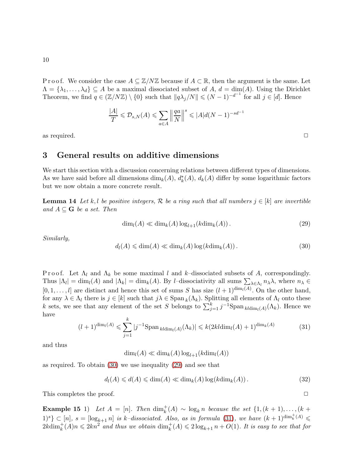P r o o f. We consider the case  $A \subseteq \mathbb{Z}/N\mathbb{Z}$  because if  $A \subset \mathbb{R}$ , then the argument is the same. Let  $\Lambda = {\lambda_1, \ldots, \lambda_d} \subseteq A$  be a maximal dissociated subset of A,  $d = \dim(A)$ . Using the Dirichlet Theorem, we find  $q \in (\mathbb{Z}/N\mathbb{Z}) \setminus \{0\}$  such that  $||q\lambda_j/N|| \leq (N-1)^{-d^{-1}}$  for all  $j \in [d]$ . Hence

$$
\frac{|A|}{T} \leqslant \mathcal{D}_{s,N}(A) \leqslant \sum_{a \in A} \left\| \frac{qa}{N} \right\|^s \leqslant |A|d(N-1)^{-sd-1}
$$

<span id="page-9-4"></span>as required.  $\Box$ 

## 3 General results on additive dimensions

We start this section with a discussion concerning relations between different types of dimensions. As we have said before all dimensions  $\dim_k(A)$ ,  $d_k^*(A)$ ,  $d_k(A)$  differ by some logarithmic factors but we now obtain a more concrete result.

**Lemma 14** Let k, l be positive integers, R be a ring such that all numbers  $j \in [k]$  are invertible and  $A \subseteq G$  be a set. Then

<span id="page-9-1"></span>
$$
\dim_l(A) \ll \dim_k(A) \log_{l+1}(k \dim_k(A)). \tag{29}
$$

Similarly,

<span id="page-9-0"></span>
$$
d_l(A) \leq \dim(A) \leq \dim_k(A) \log(k \dim_k(A)). \tag{30}
$$

P r o o f. Let  $\Lambda_l$  and  $\Lambda_k$  be some maximal l and k–dissociated subsets of A, correspondingly. Thus  $|\Lambda_l| = \dim_l(A)$  and  $|\Lambda_k| = \dim_k(A)$ . By *l*-dissociativity all sums  $\sum_{\lambda \in \Lambda_l} n_{\lambda} \lambda$ , where  $n_{\lambda} \in$  $[0, 1, \ldots, l]$  are distinct and hence this set of sums S has size  $(l + 1)^{\dim_l(A)}$ . On the other hand, for any  $\lambda \in \Lambda_l$  there is  $j \in [k]$  such that  $j\lambda \in \text{Span}_k(\Lambda_k)$ . Splitting all elements of  $\Lambda_l$  onto these k sets, we see that any element of the set S belongs to  $\sum_{j=1}^{k} j^{-1}$ Span  $_{kldim_l(A)}(\Lambda_k)$ . Hence we have

<span id="page-9-2"></span>
$$
(l+1)^{\dim_l(A)} \leq \sum_{j=1}^k |j^{-1} \text{Span}_{kl\dim_l(A)}(\Lambda_k)| \leq k(2kl\dim_l(A) + 1)^{\dim_k(A)}
$$
(31)

and thus

 $\dim_l(A) \ll \dim_k(A) \log_{l+1}(k\dim_l(A))$ 

as required. To obtain [\(30\)](#page-9-0) we use inequality [\(29\)](#page-9-1) and see that

<span id="page-9-3"></span>
$$
d_l(A) \leq d(A) \leq \dim(A) \leq \dim_k(A) \log(k \dim_k(A)). \tag{32}
$$

This completes the proof.  $\Box$ 

**Example 15** 1) Let  $A = [n]$ . Then  $\dim_k^+(A) \sim \log_k n$  because the set  $\{1, (k+1), \ldots, (k+1)\}$  $1)^s\}\subset [n], s=[\log_{k+1} n]$  is k-dissociated. Also, as in formula [\(31\)](#page-9-2), we have  $(k+1)^{\dim_k^+(A)}\leq$  $2k\dim_k^+(A)n \leqslant 2kn^2$  and thus we obtain  $\dim_k^+(A) \leqslant 2\log_{k+1} n + O(1)$ . It is easy to see that for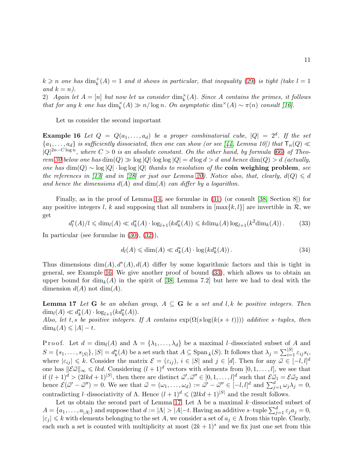$k \geqslant n$  one has  $\dim_k^+(A) = 1$  and it shows in particular, that inequality [\(29\)](#page-9-1) is tight (take  $l = 1$ and  $k = n$ ).

2) Again let  $A = [n]$  but now let us consider  $\dim_k^{\times}(A)$ . Since A contains the primes, it follows that for any k one has  $\dim_k^{\times}(A) \gg n/\log n$ . On asymptotic  $\dim^{\times}(A) \sim \pi(n)$  consult [\[16\]](#page-37-12).

<span id="page-10-0"></span>Let us consider the second important

**Example 16** Let  $Q = Q(a_1, \ldots, a_d)$  be a proper combinatorial cube,  $|Q| = 2^d$ . If the set  ${a_1, \ldots, a_d}$  is sufficiently dissociated, then one can show (or see [\[44,](#page-39-3) Lemma 10]) that  $\mathsf{T}_n(Q)$   $\ll$  $|Q|^{2n-C \log n}$ , where  $C > 0$  is an absolute constant. On the other hand, by formula [\(66\)](#page-20-1) of Theo-rem [30](#page-20-0) below one has  $\dim(Q) \gg \log|Q| \cdot \log \log|Q| = d \log d > d$  and hence  $\dim(Q) > d$  (actually, one has  $\dim(Q) \sim \log |Q| \cdot \log \log |Q|$  thanks to resolution of the coin weighing problem, see the references in [\[13\]](#page-37-7) and in [\[28\]](#page-38-11) or just our Lemma [20\)](#page-12-0). Notice also, that, clearly,  $d(Q) \leq d$ and hence the dimensions  $d(A)$  and  $dim(A)$  can differ by a logarithm.

Finally, as in the proof of Lemma [14,](#page-9-0) see formulae in [\(31\)](#page-9-2) (or consult [\[38,](#page-38-5) Section 8]) for any positive integers l, k and supposing that all numbers in  $[\max\{k, l\}]$  are invertible in  $\mathcal{R}$ , we get

<span id="page-10-1"></span>
$$
d_l^*(A)/l \le \dim_l(A) \ll d_k^*(A) \cdot \log_{l+1}(kd_k^*(A)) \le k \dim_k(A) \log_{l+1}(k^2 \dim_k(A)).
$$
 (33)

In particular (see formulae in [\(30\)](#page-9-0), [\(32\)](#page-9-3)),

<span id="page-10-3"></span>
$$
d_l(A) \leq \dim(A) \ll d_k^*(A) \cdot \log(k d_k^*(A)). \tag{34}
$$

Thus dimensions  $\dim(A)$ ,  $d^*(A)$ ,  $d(A)$  differ by some logarithmic factors and this is tight in general, see Example [16.](#page-10-0) We give another proof of bound [\(33\)](#page-10-1), which allows us to obtain an upper bound for  $\dim_k(A)$  in the spirit of [\[38,](#page-38-5) Lemma 7.2] but here we had to deal with the dimension  $d(A)$  not dim $(A)$ .

<span id="page-10-2"></span>**Lemma 17** Let G be an abelian group,  $A \subseteq G$  be a set and l, k be positive integers. Then dim<sub>l</sub>(A)  $\ll d_k^*(A) \cdot \log_{l+1}(k d_k^*(A)).$ 

Also, let t, s be positive integers. If A contains  $\exp(\Omega(s \log(k(s + t))))$  additive s-tuples, then  $\dim_k(A) \leqslant |A| - t.$ 

Proof. Let  $d = \dim_l(A)$  and  $\Lambda = {\lambda_1, \ldots, \lambda_d}$  be a maximal *l*-dissociated subset of A and  $S = \{s_1, \ldots, s_{|S|}\}, |S| = d_k^*(A)$  be a set such that  $A \subseteq \text{Span}_k(S)$ . It follows that  $\lambda_j = \sum_{i=1}^{|S|} \varepsilon_{ij} s_i$ where  $|\varepsilon_{ij}| \leq k$ . Consider the matrix  $\mathcal{E} = (\varepsilon_{ij})$ ,  $i \in |S|$  and  $j \in [d]$ . Then for any  $\vec{\omega} \in [-l, l]^d$ one has  $\|\mathcal{E}\vec{\omega}\|_{\infty} \leq k d$ . Considering  $(l + 1)^d$  vectors with elements from  $[0, 1, \ldots, l]$ , we see that if  $(l+1)^d > (2lkd+1)^{|S|}$ , then there are distinct  $\vec{\omega}', \vec{\omega}'' \in [0,1,\ldots,l]^d$  such that  $\mathcal{E} \vec{\omega}_1 = \mathcal{E} \vec{\omega}_2$  and hence  $\mathcal{E}(\vec{\omega}' - \vec{\omega}'') = 0$ . We see that  $\vec{\omega} = (\omega_1, \dots, \omega_d) := \vec{\omega}' - \vec{\omega}'' \in [-l, l]^d$  and  $\sum_{j=1}^d \omega_j \lambda_j = 0$ , contradicting *l*–dissociativity of  $\Lambda$ . Hence  $(l+1)^d \leq (2lkd+1)^{|S|}$  and the result follows.

Let us obtain the second part of Lemma [17.](#page-10-2) Let  $\Lambda$  be a maximal k–dissociated subset of  $A = \{a_1, \ldots, a_{|A|}\}\$ and suppose that  $d := |\Lambda| > |A| - t$ . Having an additive s-tuple  $\sum_{j=1}^{d} \varepsilon_j a_j = 0$ ,  $|\varepsilon_j| \leq k$  with elements belonging to the set A, we consider a set of  $a_j \in \Lambda$  from this tuple. Clearly, each such a set is counted with multiplicity at most  $(2k+1)^s$  and we fix just one set from this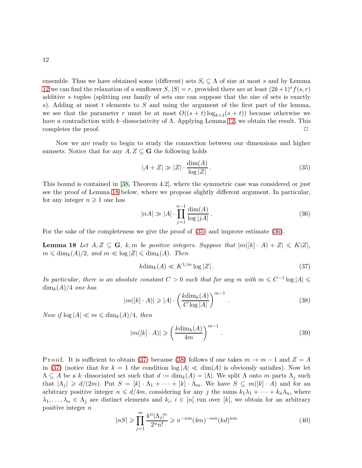ensemble. Thus we have obtained some (different) sets  $S_i \subseteq \Lambda$  of size at most s and by Lemma [12](#page-8-0) we can find the relaxation of a sunflower  $S, |S| = r$ , provided there are at least  $(2k+1)^s f(s, r)$ additive s–tuples (splitting our family of sets one can suppose that the size of sets is exactly s). Adding at most t elements to S and using the argument of the first part of the lemma, we see that the parameter r must be at most  $O((s + t) \log_{k+1}(s + t))$  because otherwise we have a contradiction with k–dissociativity of  $\Lambda$ . Applying Lemma [12,](#page-8-0) we obtain the result. This completes the proof.  $\Box$ 

Now we are ready to begin to study the connection between our dimensions and higher sumsets. Notice that for any  $A, Z \subseteq G$  the following holds

<span id="page-11-1"></span>
$$
|A + Z| \gg |Z| \cdot \frac{\dim(A)}{\log|Z|}.
$$
\n(35)

This bound is contained in [\[38,](#page-38-5) Theorem 4.2], where the symmetric case was considered or just see the proof of Lemma [18](#page-11-0) below, where we propose slightly different argument. In particular, for any integer  $n \geqslant 1$  one has

<span id="page-11-2"></span>
$$
|nA| \gg |A| \cdot \prod_{j=1}^{n-1} \frac{\dim(A)}{\log |jA|} \,. \tag{36}
$$

For the sake of the completeness we give the proof of [\(35\)](#page-11-1) and improve estimate [\(36\)](#page-11-2).

**Lemma 18** Let  $A, Z \subseteq G$ , k, m be positive integers. Suppose that  $|m(|k| \cdot A) + Z| \leq K|Z|$ ,  $m \leq \dim_k(A)/2$ , and  $m \ll \log |Z| \leq \dim_k(A)$ . Then

<span id="page-11-3"></span>
$$
k\dim_k(A) \ll K^{1/m} \log |Z| \,. \tag{37}
$$

In particular, there is an absolute constant  $C > 0$  such that for any m with  $m \leq C^{-1} \log |A| \leq$  $\dim_k(A)/4$  one has

<span id="page-11-4"></span>
$$
|m([k] \cdot A)| \geq |A| \cdot \left(\frac{k \dim_k(A)}{C \log |A|}\right)^{m-1}.
$$
 (38)

Now if  $\log |A| \ll m \leq \dim_k(A)/4$ , then

<span id="page-11-0"></span>
$$
|m([k] \cdot A)| \geqslant \left(\frac{k \dim_k(A)}{4m}\right)^{m-1}.
$$
\n(39)

P r o o f. It is sufficient to obtain [\(37\)](#page-11-3) because [\(38\)](#page-11-4) follows if one takes  $m \to m-1$  and  $Z = A$ in [\(37\)](#page-11-3) (notice that for  $k = 1$  the condition  $\log |A| \ll \dim(A)$  is obviously satisfies). Now let  $\Lambda \subseteq A$  be a k–dissociated set such that  $d := \dim_k(A) = |\Lambda|$ . We split  $\Lambda$  onto m parts  $\Lambda_j$  such that  $|\Lambda_j| \geq d/(2m)$ . Put  $S = [k] \cdot \Lambda_1 + \cdots + [k] \cdot \Lambda_m$ . We have  $S \subseteq m([k] \cdot A)$  and for an arbitrary positive integer  $n \le d/4m$ , considering for any j the sums  $k_1\lambda_1 + \cdots + k_n\lambda_n$ , where  $\lambda_1, \ldots, \lambda_n \in \Lambda_j$  are distinct elements and  $k_i, i \in [n]$  run over [k], we obtain for an arbitrary positive integer n

<span id="page-11-5"></span>
$$
|nS| \geq \prod_{j=1}^{m} \frac{k^n |\Lambda_j|^n}{2^n n!} \geq n^{-nm} (4m)^{-nm} (kd)^{nm}
$$
 (40)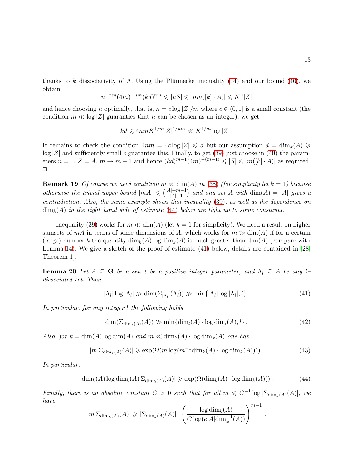thanks to k–dissociativity of  $\Lambda$ . Using the Plünnecke inequality [\(14\)](#page-5-1) and our bound [\(40\)](#page-11-5), we obtain

$$
n^{-nm}(4m)^{-nm}(kd)^{nm}\leqslant |nS|\leqslant |nm([k]\cdot A)|\leqslant K^n|Z|
$$

and hence choosing n optimally, that is,  $n = c \log |Z|/m$  where  $c \in (0,1]$  is a small constant (the condition  $m \ll \log |Z|$  guaranties that n can be chosen as an integer), we get

$$
kd \leqslant 4nmK^{1/m}|Z|^{1/nm} \ll K^{1/m}\log|Z|.
$$

It remains to check the condition  $4nm = 4c \log |Z| \leq d$  but our assumption  $d = \dim_k(A) \geqslant$  $log |Z|$  and sufficiently small c guarantee this. Finally, to get [\(39\)](#page-11-0) just choose in [\(40\)](#page-11-5) the parameters  $n = 1, Z = A, m \rightarrow m - 1$  and hence  $(kd)^{m-1}(4m)^{-(m-1)} \leqslant |S| \leqslant |m([k] \cdot A)|$  as required.  $\Box$ 

**Remark 19** Of course we need condition  $m \ll \dim(A)$  in [\(38\)](#page-11-4) (for simplicity let  $k = 1$ ) because otherwise the trivial upper bound  $|mA| \leq (|A|+m-1)$  and any set A with  $\dim(A) = |A|$  gives a contradiction. Also, the same example shows that inequality [\(39\)](#page-11-0), as well as the dependence on  $\dim_k(A)$  in the right–hand side of estimate [\(44\)](#page-12-0) below are tight up to some constants.

Inequality [\(39\)](#page-11-0) works for  $m \ll \dim(A)$  (let  $k = 1$  for simplicity). We need a result on higher sumsets of  $mA$  in terms of some dimensions of A, which works for  $m \gg \dim(A)$  if for a certain (large) number k the quantity  $\dim_k(A)$  log  $\dim_k(A)$  is much greater than  $\dim(A)$  (compare with Lemma [14\)](#page-9-0). We give a sketch of the proof of estimate [\(41\)](#page-12-1) below, details are contained in [\[28,](#page-38-11) Theorem 1].

**Lemma 20** Let  $A \subseteq G$  be a set, l be a positive integer parameter, and  $\Lambda_l \subseteq A$  be any ldissociated set. Then

<span id="page-12-1"></span>
$$
|\Lambda_l| \log |\Lambda_l| \gg \dim(\Sigma_{|\Lambda_l|}(\Lambda_l)) \gg \min\{|\Lambda_l| \log |\Lambda_l|, l\}.
$$
 (41)

In particular, for any integer l the following holds

<span id="page-12-3"></span>
$$
\dim(\Sigma_{\dim_l(A)}(A)) \gg \min\{\dim_l(A) \cdot \log \dim_l(A), l\}.
$$
\n(42)

.

Also, for  $k = \dim(A) \log \dim(A)$  and  $m \ll \dim_k(A) \cdot \log \dim_k(A)$  one has

<span id="page-12-2"></span>
$$
|m \Sigma_{\dim_k(A)}(A)| \ge \exp(\Omega(m \log(m^{-1} \dim_k(A) \cdot \log \dim_k(A))))\,. \tag{43}
$$

In particular,

<span id="page-12-0"></span>
$$
|\dim_k(A)\log \dim_k(A)\Sigma_{\dim_k(A)}(A)| \ge \exp(\Omega(\dim_k(A)\cdot \log \dim_k(A))).
$$
 (44)

Finally, there is an absolute constant  $C > 0$  such that for all  $m \leq C^{-1} \log |\Sigma_{\text{dim}_k(A)}(A)|$ , we have

$$
|m \,\Sigma_{\dim_k(A)}(A)| \geqslant |\Sigma_{\dim_k(A)}(A)| \cdot \left(\frac{\log \dim_k(A)}{C \log(e|A| \dim_k^{-1}(A))}\right)^{m-1}
$$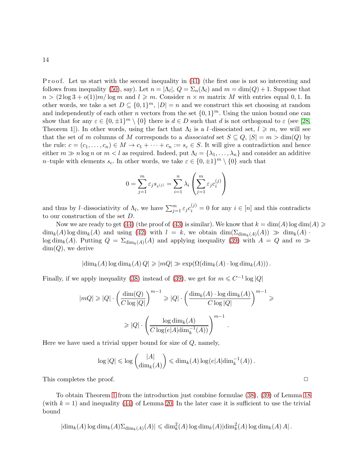Proof. Let us start with the second inequality in [\(41\)](#page-12-1) (the first one is not so interesting and follows from inequality [\(50\)](#page-15-0), say). Let  $n = |\Lambda_l|$ ,  $Q = \Sigma_n(\Lambda_l)$  and  $m = \dim(Q) + 1$ . Suppose that  $n > (2 \log 3 + o(1))m/\log m$  and  $l \geq m$ . Consider  $n \times m$  matrix M with entries equal 0, 1. In other words, we take a set  $D \subseteq \{0,1\}^m$ ,  $|D| = n$  and we construct this set choosing at random and independently of each other n vectors from the set  $\{0,1\}^m$ . Using the union bound one can show that for any  $\varepsilon \in \{0, \pm 1\}^m \setminus \{0\}$  there is  $d \in D$  such that d is not orthogonal to  $\varepsilon$  (see [\[28,](#page-38-11) Theorem 1]). In other words, using the fact that  $\Lambda_l$  is a *l*-dissociated set,  $l \geq m$ , we will see that the set of m columns of M corresponds to a dissociated set  $S \subseteq Q, |S| = m > \dim(Q)$  by the rule:  $c = (c_1, \ldots, c_n) \in M \to c_1 + \cdots + c_n := s_c \in S$ . It will give a contradiction and hence either  $m \gg n \log n$  or  $m < l$  as required. Indeed, put  $\Lambda_l = {\lambda_1, \ldots, \lambda_n}$  and consider an additive *n*–tuple with elements  $s_c$ . In other words, we take  $\varepsilon \in \{0, \pm 1\}^m \setminus \{0\}$  such that

$$
0 = \sum_{j=1}^{m} \varepsilon_j s_{c^{(j)}} = \sum_{i=1}^{n} \lambda_i \left( \sum_{j=1}^{m} \varepsilon_j c_i^{(j)} \right)
$$

and thus by *l*-dissociativity of  $\Lambda_l$ , we have  $\sum_{j=1}^m \varepsilon_j c_i^{(j)} = 0$  for any  $i \in [n]$  and this contradicts to our construction of the set D.

Now we are ready to get [\(44\)](#page-12-0) (the proof of [\(43\)](#page-12-2) is similar). We know that  $k = \dim(A) \log \dim(A) \geq$  $\dim_k(A) \log \dim_k(A)$  and using [\(42\)](#page-12-3) with  $l = k$ , we obtain  $\dim(\Sigma_{\dim_k(A)}(A)) \gg \dim_k(A)$ .  $\log \dim_k(A)$ . Putting  $Q = \sum_{dim_k(A)}(A)$  and applying inequality [\(39\)](#page-11-0) with  $A = Q$  and  $m \gg$  $dim(Q)$ , we derive

$$
|\dim_k(A) \log \dim_k(A) Q| \geqslant |mQ| \gg \exp(\Omega(\dim_k(A) \cdot \log \dim_k(A))).
$$

Finally, if we apply inequality [\(38\)](#page-11-4) instead of [\(39\)](#page-11-0), we get for  $m \leq C^{-1} \log |Q|$ 

$$
|mQ| \ge |Q| \cdot \left(\frac{\dim(Q)}{C \log |Q|}\right)^{m-1} \ge |Q| \cdot \left(\frac{\dim_k(A) \cdot \log \dim_k(A)}{C \log |Q|}\right)^{m-1} \ge
$$
  

$$
\ge |Q| \cdot \left(\frac{\log \dim_k(A)}{C \log(e|A| \dim_k^{-1}(A))}\right)^{m-1}.
$$

Here we have used a trivial upper bound for size of  $Q$ , namely,

$$
\log |Q| \leqslant \log \binom{|A|}{\dim_k(A)} \leqslant \dim_k(A) \log(e|A| \dim_k^{-1}(A)).
$$

This completes the proof.  $\Box$ 

To obtain Theorem [1](#page-1-1) from the introduction just combine formulae [\(38\)](#page-11-4), [\(39\)](#page-11-0) of Lemma [18](#page-11-0) (with  $k = 1$ ) and inequality [\(44\)](#page-12-0) of Lemma [20.](#page-12-0) In the later case it is sufficient to use the trivial bound

$$
|\dim_k(A)\log \dim_k(A)\Sigma_{\dim_k(A)}(A)| \leq \dim_k^2(A)\log \dim_k(A)|\dim_k^2(A)\log \dim_k(A) A|.
$$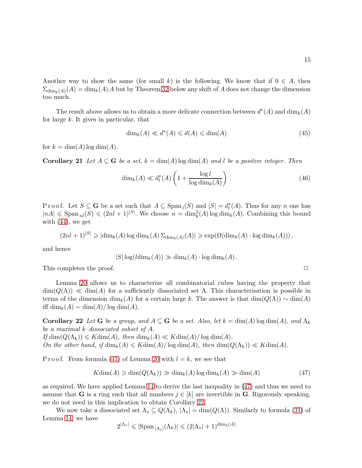Another way to show the same (for small k) is the following. We know that if  $0 \in A$ , then  $\Sigma_{\dim_k(A)}(A) = \dim_k(A) A$  but by Theorem [32](#page-23-0) below any shift of A does not change the dimension too much.

The result above allows us to obtain a more delicate connection between  $d^*(A)$  and  $\dim_k(A)$ for large  $k$ . It gives in particular, that

$$
\dim_k(A) \ll d^*(A) \leq d(A) \leq \dim(A) \tag{45}
$$

for  $k = \dim(A) \log \dim(A)$ .

**Corollary 21** Let  $A \subseteq G$  be a set,  $k = \dim(A) \log \dim(A)$  and l be a positive integer. Then

$$
\dim_k(A) \ll d_l^*(A) \left( 1 + \frac{\log l}{\log \dim_k(A)} \right). \tag{46}
$$

Proof. Let  $S \subseteq G$  be a set such that  $A \subseteq \text{Span}_{l}(S)$  and  $|S| = d_{l}^{*}(A)$ . Thus for any n one has  $|nA| \leq \text{Span}_{nl}(S) \leq (2nl+1)^{|S|}$ . We choose  $n = \dim_k^2(A) \log \dim_k(A)$ . Combining this bound with [\(44\)](#page-12-0), we get

$$
(2nl+1)^{|S|} \geqslant |\dim_k(A)\log \dim_k(A) \Sigma_{\dim_k(A)}(A)| \geqslant \exp(\Omega(\dim_k(A) \cdot \log \dim_k(A)))
$$

and hence

$$
|S|\log(l\dim_k(A))\gg \dim_k(A)\cdot \log \dim_k(A).
$$

This completes the proof.  $\Box$ 

Lemma [20](#page-12-0) allows us to characterize all combinatorial cubes having the property that  $\dim(Q(\Lambda)) \ll \dim(A)$  for a sufficiently dissociated set  $\Lambda$ . This characterisation is possible in terms of the dimension  $\dim_k(A)$  for a certain large k. The answer is that  $\dim(Q(\Lambda)) \sim \dim(A)$ iff dim<sub>k</sub> $(A) \sim \dim(A)/\log \dim(A)$ .

<span id="page-14-0"></span>Corollary 22 Let G be a group, and  $A \subseteq G$  be a set. Also, let  $k = \dim(A) \log \dim(A)$ , and  $\Lambda_k$ be a maximal k–dissociated subset of A. If  $\dim(Q(\Lambda_k)) \leqslant K \dim(A)$ , then  $\dim_k(A) \ll K \dim(A) / \log \dim(A)$ .

On the other hand, if  $\dim_k(A) \leq K \dim(A) / \log \dim(A)$ , then  $\dim(Q(\Lambda_k)) \ll K \dim(A)$ .

P r o o f. From formula [\(41\)](#page-12-1) of Lemma [20](#page-12-0) with  $l = k$ , we see that

<span id="page-14-1"></span>
$$
K\dim(A) \geq \dim(Q(\Lambda_k)) \geq \dim_k(A) \log \dim_k(A) \geq \dim(A)
$$
\n(47)

as required. We have applied Lemma [14](#page-9-0) to derive the last inequality in [\(47\)](#page-14-1) and thus we need to assume that **G** is a ring such that all numbers  $j \in [k]$  are invertible in **G**. Rigorously speaking, we do not need in this implication to obtain Corollary [22.](#page-14-0)

We now take a dissociated set  $\Lambda_* \subseteq Q(\Lambda_k)$ ,  $|\Lambda_*| = \dim(Q(\Lambda))$ . Similarly to formula [\(31\)](#page-9-2) of Lemma [14,](#page-9-0) we have

$$
2^{|\Lambda_*|} \leqslant |\mathrm{Span}\,_{|\Lambda_*|}(\Lambda_k)| \leqslant (2|\Lambda_*|+1)^{\dim_k(A)}
$$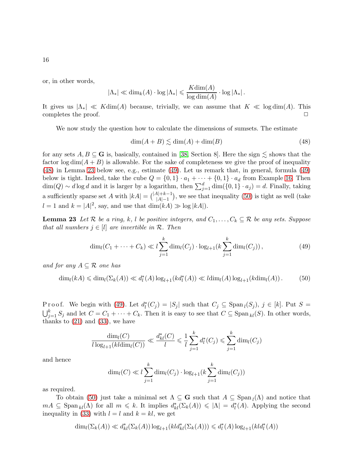or, in other words,

$$
|\Lambda_*| \ll \dim_k(A) \cdot \log |\Lambda_*| \leqslant \frac{K \dim(A)}{\log \dim(A)} \cdot \log |\Lambda_*|.
$$

It gives us  $|\Lambda_*| \ll K \dim(A)$  because, trivially, we can assume that  $K \ll \log \dim(A)$ . This completes the proof. completes the proof.

We now study the question how to calculate the dimensions of sumsets. The estimate

<span id="page-15-1"></span>
$$
\dim(A+B) \lesssim \dim(A) + \dim(B) \tag{48}
$$

for any sets  $A, B \subseteq G$  is, basically, contained in [\[38,](#page-38-5) Section 8]. Here the sign  $\lesssim$  shows that the factor  $\log \dim(A + B)$  is allowable. For the sake of completeness we give the proof of inequality [\(48\)](#page-15-1) in Lemma [23](#page-15-0) below see, e.g., estimate [\(49\)](#page-15-2). Let us remark that, in general, formula [\(49\)](#page-15-2) below is tight. Indeed, take the cube  $Q = \{0, 1\} \cdot a_1 + \cdots + \{0, 1\} \cdot a_d$  from Example [16.](#page-10-0) Then  $\dim(Q) \sim d \log d$  and it is larger by a logarithm, then  $\sum_{j=1}^{d} \dim(\{0,1\} \cdot a_j) = d$ . Finally, taking a sufficiently sparse set A with  $|kA| = {|A|+k-1 \choose |A|-1}$ , we see that inequality [\(50\)](#page-15-0) is tight as well (take  $l = 1$  and  $k = |A|^2$ , say, and use that  $\dim(kA) \gg \log |kA|$ .

**Lemma 23** Let R be a ring, k, l be positive integers, and  $C_1, \ldots, C_k \subseteq \mathbb{R}$  be any sets. Suppose that all numbers  $j \in [l]$  are invertible in  $\mathcal{R}$ . Then

<span id="page-15-2"></span>
$$
\dim_l(C_1 + \dots + C_k) \ll l \sum_{j=1}^k \dim_l(C_j) \cdot \log_{l+1}(k \sum_{j=1}^k \dim_l(C_j)), \tag{49}
$$

and for any  $A \subseteq \mathcal{R}$  one has

<span id="page-15-0"></span> $\dim_l(kA) \leq \dim_l(\Sigma_k(A)) \ll d_l^*(A) \log_{l+1}(kd_l^*(A)) \ll l \dim_l(A) \log_{l+1}(k \dim_l(A)).$  (50)

P r o o f. We begin with [\(49\)](#page-15-2). Let  $d_l^*(C_j) = |S_j|$  such that  $C_j \subseteq \text{Span}_l(S_j)$ ,  $j \in [k]$ . Put  $S = \bigcup_{i=1}^k S_i$  and let  $C = C_1 + \cdots + C_k$ . Then it is easy to see that  $C \subseteq \text{Span}_{l}(S)$ . In other words,  $\bigcup_{j=1}^k S_j$  and let  $C = C_1 + \cdots + C_k$ . Then it is easy to see that  $C \subseteq \text{Span}_{kl}(S)$ . In other words, thanks to  $(21)$  and  $(33)$ , we have

$$
\frac{\dim_l(C)}{l \log_{l+1}(kl \dim_l(C))} \ll \frac{d_{kl}^*(C)}{l} \leq \frac{1}{l} \sum_{j=1}^k d_l^*(C_j) \leq \sum_{j=1}^k \dim_l(C_j)
$$

and hence

$$
\dim_l(C) \ll l \sum_{j=1}^k \dim_l(C_j) \cdot \log_{l+1}(k \sum_{j=1}^k \dim_l(C_j))
$$

as required.

To obtain [\(50\)](#page-15-0) just take a minimal set  $\Lambda \subseteq G$  such that  $A \subseteq Span<sub>l</sub>(\Lambda)$  and notice that  $mA \subseteq \text{Span}_{kl}(\Lambda)$  for all  $m \leq k$ . It implies  $d_{kl}^*(\Sigma_k(A)) \leq |\Lambda| = d_l^*(A)$ . Applying the second inequality in [\(33\)](#page-10-1) with  $l = l$  and  $k = kl$ , we get

$$
\dim_l(\Sigma_k(A)) \ll d^*_{kl}(\Sigma_k(A)) \log_{l+1}(kld^*_{kl}(\Sigma_k(A))) \leq d^*(A) \log_{l+1}(kld^*(A))
$$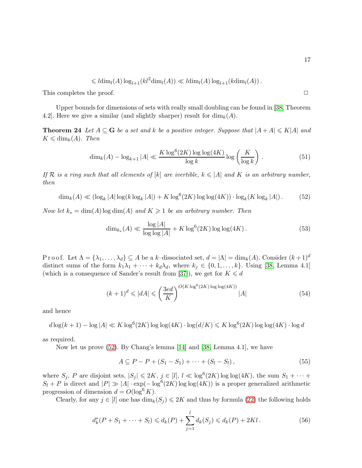$$
\leq
$$
  $l\dim_{l}(A) \log_{l+1}(kl^{2}\dim_{l}(A)) \ll l\dim_{l}(A) \log_{l+1}(k\dim_{l}(A)).$ 

This completes the proof.  $\Box$ 

Upper bounds for dimensions of sets with really small doubling can be found in [\[38,](#page-38-5) Theorem 4.2. Here we give a similar (and slightly sharper) result for  $\dim_k(A)$ .

**Theorem 24** Let  $A \subseteq G$  be a set and k be a positive integer. Suppose that  $|A + A| \le K|A|$  and  $K \leq \dim_k(A)$ . Then

$$
\dim_k(A) - \log_{k+1}|A| \ll \frac{K \log^6(2K) \log \log(4K)}{\log k} \log \left(\frac{K}{\log k}\right). \tag{51}
$$

If R is a ring such that all elements of  $[k]$  are ivertible,  $k \leq |A|$  and K is an arbitrary number, then

<span id="page-16-0"></span>
$$
\dim_k(A) \ll (\log_k |A| \log(k \log_k |A|) + K \log^6(2K) \log \log(4K)) \cdot \log_k(K \log_k |A|).
$$
 (52)

Now let  $k_* = \dim(A) \log \dim(A)$  and  $K \geq 1$  be an arbitrary number. Then

<span id="page-16-2"></span>
$$
\dim_{k_*}(A) \ll \frac{\log |A|}{\log \log |A|} + K \log^{6}(2K) \log \log(4K). \tag{53}
$$

Proof. Let  $\Lambda = {\lambda_1, \ldots, \lambda_d} \subseteq A$  be a k-dissociated set,  $d = |\Lambda| = \dim_k(A)$ . Consider  $(k+1)^d$ distinct sums of the form  $k_1\lambda_1 + \cdots + k_d\lambda_d$ , where  $k_j \in \{0, 1, \ldots, k\}$ . Using [\[38,](#page-38-5) Lemma 4.1] (which is a consequence of Sander's result from [\[37\]](#page-38-14)), we get for  $K \leq d$ 

<span id="page-16-3"></span>
$$
(k+1)^d \leqslant |dA| \leqslant \left(\frac{3ed}{K}\right)^{O(K\log^6(2K)\log\log(4K))} |A| \tag{54}
$$

and hence

$$
d\log(k+1) - \log|A| \ll K \log^{6}(2K) \log \log(4K) \cdot \log(d/K) \leq K \log^{6}(2K) \log \log(4K) \cdot \log d
$$

as required.

Now let us prove [\(52\)](#page-16-0). By Chang's lemma [\[14\]](#page-37-0) and [\[38,](#page-38-5) Lemma 4.1], we have

$$
A \subseteq P - P + (S_1 - S_1) + \dots + (S_l - S_l), \tag{55}
$$

where  $S_j$ , P are disjoint sets,  $|S_j| \leq 2K$ ,  $j \in [l]$ ,  $l \ll \log^6(2K) \log \log(4K)$ , the sum  $S_1 + \cdots$  $S_l + P$  is direct and  $|P| \gg |A| \cdot \exp(-\log^6(2K) \log \log(4K))$  is a proper generalized arithmetic progression of dimension  $d = O(\log^6 K)$ .

Clearly, for any  $j \in [l]$  one has  $\dim_k(S_j) \leq 2K$  and thus by formula [\(22\)](#page-7-3) the following holds

<span id="page-16-1"></span>
$$
d_k^*(P + S_1 + \dots + S_l) \leq d_k(P) + \sum_{j=1}^l d_k(S_j) \leq d_k(P) + 2Kl. \tag{56}
$$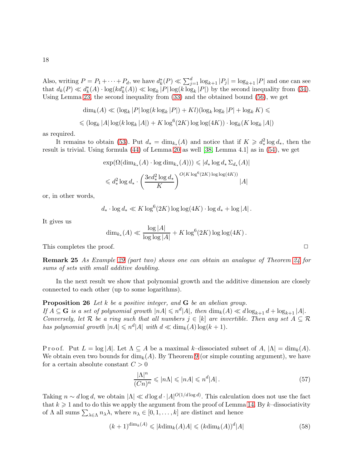Also, writing  $P = P_1 + \cdots + P_d$ , we have  $d_k^*(P) \ll \sum_{j=1}^d \log_{k+1} |P_j| = \log_{k+1} |P|$  and one can see that  $d_k(P) \ll d_k^*(A) \cdot \log(k d_k^*(A)) \ll \log_k |P| \log(k \log_k |P|)$  by the second inequality from [\(34\)](#page-10-3). Using Lemma [23,](#page-15-0) the second inequality from [\(33\)](#page-10-1) and the obtained bound [\(56\)](#page-16-1), we get

$$
\dim_k(A) \ll (\log_k |P| \log(k \log_k |P|) + Kl)(\log_k \log_k |P| + \log_k K) \le
$$
  

$$
\le (\log_k |A| \log(k \log_k |A|) + K \log^6(2K) \log \log(4K)) \cdot \log_k(K \log_k |A|)
$$

as required.

It remains to obtain [\(53\)](#page-16-2). Put  $d_* = \dim_{k_*}(A)$  and notice that if  $K \geq d_*^2 \log d_*,$  then the result is trivial. Using formula [\(44\)](#page-12-0) of Lemma [20](#page-12-0) as well [\[38,](#page-38-5) Lemma 4.1] as in [\(54\)](#page-16-3), we get

$$
\exp(\Omega(\dim_{k_*}(A) \cdot \log \dim_{k_*}(A))) \leqslant |d_* \log d_* \Sigma_{d_*}(A)|
$$
  

$$
\leqslant d_*^2 \log d_* \cdot \left(\frac{3ed_*^2 \log d_*}{K}\right)^{O(K \log^6(2K) \log \log(4K))} |A|
$$

or, in other words,

$$
d_* \cdot \log d_* \ll K \log^6(2K) \log \log(4K) \cdot \log d_* + \log |A|.
$$

It gives us

$$
\dim_{k_*}(A) \ll \frac{\log |A|}{\log \log |A|} + K \log^{6}(2K) \log \log(4K).
$$

This completes the proof.  $\Box$ 

Remark 25 As Example [29](#page-19-1) (part two) shows one can obtain an analogue of Theorem [24](#page-16-2) for sums of sets with small additive doubling.

<span id="page-17-0"></span>In the next result we show that polynomial growth and the additive dimension are closely connected to each other (up to some logarithms).

Proposition 26 Let k be a positive integer, and G be an abelian group. If  $A \subseteq G$  is a set of polynomial growth  $|nA| \leqslant n^d |A|$ , then  $\dim_k(A) \ll d \log_{k+1} d + \log_{k+1} |A|$ . Conversely, let R be a ring such that all numbers  $j \in [k]$  are invertible. Then any set  $A \subseteq \mathcal{R}$ has polynomial growth  $|nA| \leqslant n^d |A|$  with  $d \ll \dim_k(A) \log(k+1)$ .

Proof. Put  $L = \log |A|$ . Let  $\Lambda \subseteq A$  be a maximal k–dissociated subset of  $A$ ,  $|\Lambda| = \dim_k(A)$ . We obtain even two bounds for  $\dim_k(A)$ . By Theorem [9](#page-7-4) (or simple counting argument), we have for a certain absolute constant  $C > 0$ 

<span id="page-17-1"></span>
$$
\frac{|\Lambda|^n}{(Cn)^n} \leqslant |n\Lambda| \leqslant |nA| \leqslant n^d |A| \,. \tag{57}
$$

Taking  $n \sim d \log d$ , we obtain  $|\Lambda| \ll d \log d \cdot |A|^{O(1/d \log d)}$ . This calculation does not use the fact that  $k \geq 1$  and to do this we apply the argument from the proof of Lemma [14.](#page-9-0) By k–dissociativity of  $\Lambda$  all sums  $\sum_{\lambda \in \Lambda} n_{\lambda} \lambda$ , where  $n_{\lambda} \in [0, 1, \ldots, k]$  are distinct and hence

$$
(k+1)^{\dim_k(A)} \leqslant |k\dim_k(A)A| \leqslant (k\dim_k(A))^d|A|
$$
\n(58)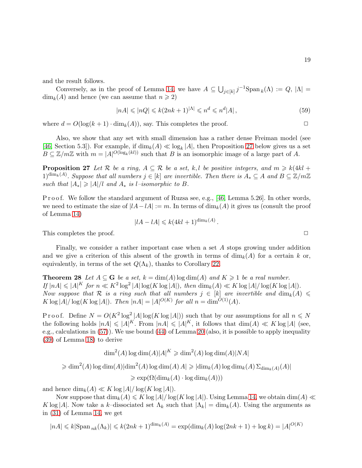and the result follows.

Conversely, as in the proof of Lemma [14,](#page-9-0) we have  $A \subseteq \bigcup_{j \in [k]} j^{-1} \text{Span}_k(\Lambda) := Q, |\Lambda| =$  $\dim_k(A)$  and hence (we can assume that  $n \geq 2$ )

<span id="page-18-1"></span>
$$
|nA| \leqslant |nQ| \leqslant k(2nk+1)^{|\Lambda|} \leqslant n^d \leqslant n^d |A| \,, \tag{59}
$$

where  $d = O(\log(k+1) \cdot \dim_k(A))$ , say. This completes the proof.

Also, we show that any set with small dimension has a rather dense Freiman model (see [\[46,](#page-39-1) Section 5.3]). For example, if  $\dim_k(A) \ll \log_k|A|$ , then Proposition [27](#page-18-2) below gives us a set  $B \subseteq \mathbb{Z}/m\mathbb{Z}$  with  $m = |A|^{O(\log_k(kl))}$  such that B is an isomorphic image of a large part of A.

<span id="page-18-2"></span>**Proposition 27** Let R be a ring,  $A \subseteq \mathcal{R}$  be a set, k, l be positive integers, and  $m \ge k(4kl + 1)$  $1)^{\dim_k(A)}$ . Suppose that all numbers  $j \in [k]$  are invertible. Then there is  $A_* \subseteq A$  and  $B \subseteq \mathbb{Z}/m\mathbb{Z}$ such that  $|A_*| \geq |A|/l$  and  $A_*$  is l–isomorphic to B.

P r o o f. We follow the standard argument of Ruzsa see, e.g., [\[46,](#page-39-1) Lemma 5.26]. In other words, we need to estimate the size of  $|lA-lA| := m$ . In terms of  $\dim_k(A)$  it gives us (consult the proof of Lemma [14\)](#page-9-0)

$$
|lA - lA| \leq k(4kl + 1)^{\dim_k(A)}.
$$

This completes the proof.  $\Box$ 

Finally, we consider a rather important case when a set A stops growing under addition and we give a criterion of this absent of the growth in terms of  $\dim_k(A)$  for a certain k or, equivalently, in terms of the set  $Q(\Lambda_k)$ , thanks to Corollary [22.](#page-14-0)

<span id="page-18-0"></span>**Theorem 28** Let  $A \subseteq G$  be a set,  $k = \dim(A) \log \dim(A)$  and  $K \geq 1$  be a real number. If  $|nA| \leqslant |A|^K$  for  $n \ll K^2 \log^2 |A| \log(K \log |A|)$ , then  $\dim_k(A) \ll K \log |A| / \log(K \log |A|)$ . Now suppose that R is a ring such that all numbers  $j \in [k]$  are invertible and  $\dim_k(A) \leq$ K  $\log |A| / \log(K \log |A|)$ . Then  $|nA| = |A|^{O(K)}$  for all  $n = \dim^{O(1)}(A)$ .

Proof. Define  $N = O(K^2 \log^2 |A| \log(K \log |A|))$  such that by our assumptions for all  $n \le N$ the following holds  $|nA| \leqslant |A|^K$ . From  $|nA| \leqslant |A|^K$ , it follows that  $\dim(A) \ll K \log |A|$  (see, e.g., calculations in [\(57\)](#page-17-1)). We use bound [\(44\)](#page-12-0) of Lemma [20](#page-12-0) (also, it is possible to apply inequality [\(39\)](#page-11-0) of Lemma [18\)](#page-11-0) to derive

$$
\dim^2(A) \log \dim(A) |A|^K \geq \dim^2(A) \log \dim(A) |NA|
$$

 $\geqslant \dim^2(A) \log \dim(A) | \dim^2(A) \log \dim(A) | A | \geqslant | \dim_k(A) \log \dim_k(A) | \sum_{\dim_k(A)} (A) |$ 

 $\geqslant \exp(\Omega(\dim_k(A) \cdot \log \dim_k(A)))$ 

and hence  $\dim_k(A) \ll K \log |A| / \log (K \log |A|)$ .

Now suppose that  $\dim_k(A) \leqslant K \log|A|/\log(K \log|A|)$ . Using Lemma [14,](#page-9-0) we obtain  $\dim(A) \ll$ K log |A|. Now take a k–dissociated set  $\Lambda_k$  such that  $|\Lambda_k| = \dim_k(A)$ . Using the arguments as in [\(31\)](#page-9-2) of Lemma [14,](#page-9-0) we get

$$
nA| \le k|\text{Span}_{nk}(\Lambda_k)| \le k(2nk+1)^{\dim_k(A)} = \exp(\dim_k(A)\log(2nk+1) + \log k) = |A|^{O(K)}
$$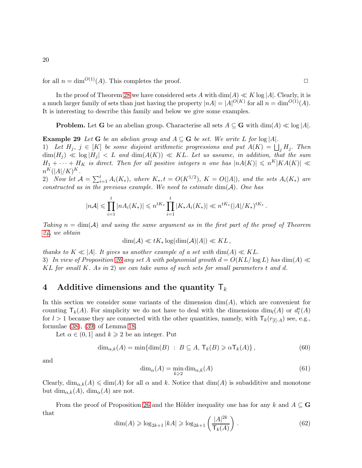for all  $n = \dim^{O(1)}(A)$ . This completes the proof.

In the proof of Theorem [28](#page-18-0) we have considered sets A with  $\dim(A) \ll K \log|A|$ . Clearly, it is a much larger family of sets than just having the property  $|nA| = |A|^{O(K)}$  for all  $n = \dim^{O(1)}(A)$ . It is interesting to describe this family and below we give some examples.

<span id="page-19-1"></span>**Problem.** Let G be an abelian group. Characterise all sets  $A \subseteq G$  with  $\dim(A) \ll \log |A|$ .

**Example 29** Let G be an abelian group and  $A \subseteq G$  be set. We write L for  $log |A|$ . 1) Let  $H_j$ ,  $j \in [K]$  be some disjoint arithmetic progressions and put  $A(K) = \bigsqcup_j H_j$ . Then  $\dim(H_j) \ll \log |H_j| < L$  and  $\dim(A(K)) \ll KL$ . Let us assume, in addition, that the sum  $H_1 + \cdots + H_K$  is direct. Then for all positive integers n one has  $|nA(K)| \leq n^K |KA(K)| \leq K$  $n^K(|A|/K)^K$  . 2) Now let  $\mathcal{A} = \sum_{i=1}^t A_i(K_*)$ , where  $K_*, t = O(K^{1/2})$ ,  $K = O(|A|)$ , and the sets  $A_i(K_*)$  are

constructed as in the previous example. We need to estimate  $dim(A)$ . One has

$$
|n\mathcal{A}| \leq \prod_{i=1}^t |nA_i(K_*)| \leq n^{tK_*} \prod_{i=1}^t |K_*A_i(K_*)| \ll n^{tK_*} (|A|/K_*)^{tK_*}
$$

Taking  $n = \dim(A)$  and using the same argument as in the first part of the proof of Theorem [24,](#page-16-2) we obtain

$$
\dim(\mathcal{A}) \ll tK_* \log(\dim(\mathcal{A})|A|) \ll KL,
$$

thanks to  $K \ll |A|$ . It gives us another example of a set with  $\dim(A) \ll KL$ . 3) In view of Proposition [26](#page-17-0) any set A with polynomial growth  $d = O(KL/\log L)$  has  $\dim(A) \ll$  $KL$  for small K. As in 2) we can take sums of such sets for small parameters t and d.

### <span id="page-19-0"></span>4 Additive dimensions and the quantity  $\mathsf{T}_k$

In this section we consider some variants of the dimension  $\dim(A)$ , which are convenient for counting  $\mathsf{T}_k(A)$ . For simplicity we do not have to deal with the dimensions  $\dim_l(A)$  or  $d_l^*(A)$ for  $l > 1$  because they are connected with the other quantities, namely, with  $\mathsf{T}_k(r_{[l], A})$  see, e.g., formulae [\(38\)](#page-11-4), [\(39\)](#page-11-0) of Lemma [18.](#page-11-0)

Let  $\alpha \in (0,1]$  and  $k \geq 2$  be an integer. Put

$$
\dim_{\alpha,k}(A) = \min\{\dim(B) : B \subseteq A, \mathsf{T}_k(B) \geq \alpha \mathsf{T}_k(A)\},\tag{60}
$$

and

$$
\dim_{\alpha}(A) = \min_{k \ge 2} \dim_{\alpha,k}(A) \tag{61}
$$

Clearly,  $\dim_{\alpha,k}(A) \leq \dim(A)$  for all  $\alpha$  and k. Notice that  $\dim(A)$  is subadditive and monotone but dim<sub>α,k</sub>(A), dim<sub>α</sub>(A) are not.

From the proof of Proposition [26](#page-17-0) and the Hölder inequality one has for any k and  $A \subseteq \mathbf{G}$ that  $2.01$ 

$$
\dim(A) \geqslant \log_{2k+1} |kA| \geqslant \log_{2k+1} \left( \frac{|A|^{2k}}{\mathsf{T}_k(A)} \right). \tag{62}
$$

.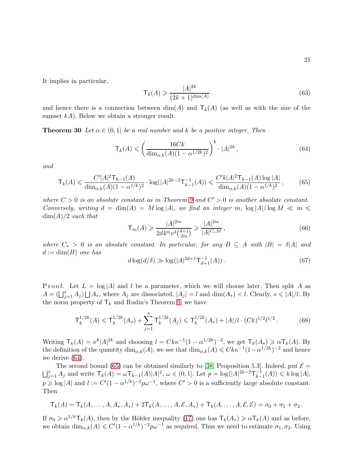It implies in particular,

$$
\mathsf{T}_{k}(A) \geqslant \frac{|A|^{2k}}{(2k+1)^{\dim(A)}}\tag{63}
$$

and hence there is a connection between  $\dim(A)$  and  $T_k(A)$  (as well as with the size of the sumset  $kA$ ). Below we obtain a stronger result.

**Theorem 30** Let  $\alpha \in (0,1]$  be a real number and k be a positive integer. Then

<span id="page-20-2"></span>
$$
\mathsf{T}_{k}(A) \leqslant \left(\frac{16Ck}{\dim_{\alpha,k}(A)(1-\alpha^{1/2k})^{2}}\right)^{k} \cdot |A|^{2k},\tag{64}
$$

and

<span id="page-20-3"></span>
$$
\mathsf{T}_{k}(A) \leqslant \frac{C'|A|^2 \mathsf{T}_{k-1}(A)}{\dim_{\alpha,k}(A)(1-\alpha^{1/k})^2} \cdot \log(|A|^{2k-2} \mathsf{T}_{k-1}^{-1}(A)) \leqslant \frac{C'k|A|^2 \mathsf{T}_{k-1}(A) \log |A|}{\dim_{\alpha,k}(A)(1-\alpha^{1/k})^2},\tag{65}
$$

where  $C > 0$  is an absolute constant as in Theorem [9](#page-7-4) and  $C' > 0$  is another absolute constant. Conversely, writing  $d = \dim(A) = M \log |A|$ , we find an integer m,  $\log |A| / \log M \ll m \leq$  $\dim(A)/2$  such that

<span id="page-20-1"></span>
$$
\mathsf{T}_{m}(A) \geqslant \frac{|A|^{2m}}{2d4^{m}e^{d}\binom{d+1}{2m}} \geqslant \frac{|A|^{2m}}{|A|^{C_{*}M}},\tag{66}
$$

where  $C_* > 0$  is an absolute constant. In particular, for any  $B \subseteq A$  with  $|B| = \delta |A|$  and  $d := \dim(B)$  one has

<span id="page-20-0"></span>
$$
d\log(d/\delta) \gg \log(|A|^{2d+1} \mathsf{T}_{d+1}^{-1}(A)). \tag{67}
$$

P r o o f. Let  $L = \log |A|$  and l be a parameter, which we will choose later. Then split A as  $A = (\bigsqcup_{j=1}^s A_j) \bigsqcup A_*$ , where  $A_j$  are dissociated,  $|A_j| = l$  and  $\dim(A_*) < l$ . Clearly,  $s \leq |A|/l$ . By the norm property of  $\mathsf{T}_k$  and Rudin's Theorem [9,](#page-7-4) we have

<span id="page-20-4"></span>
$$
\mathsf{T}_{k}^{1/2k}(A) \leqslant \mathsf{T}_{k}^{1/2k}(A_{*}) + \sum_{j=1}^{s} \mathsf{T}_{k}^{1/2k}(A_{j}) \leqslant \mathsf{T}_{k}^{1/2k}(A_{*}) + |A|/l \cdot (Ck)^{1/2}l^{1/2}.
$$
 (68)

Writing  $\mathsf{T}_k(A) = \kappa^k |A|^{2k}$  and choosing  $l = Ck\kappa^{-1}(1-\alpha^{1/2k})^{-2}$ , we get  $\mathsf{T}_k(A_*) \geq \alpha \mathsf{T}_k(A)$ . By the definition of the quantity  $\dim_{\alpha,k}(A)$ , we see that  $\dim_{\alpha,k}(A) \leq Ck\kappa^{-1}(1-\alpha^{1/2k})^{-2}$  and hence we derive [\(64\)](#page-20-2).

The second bound [\(65\)](#page-20-3) can be obtained similarly to [\[38,](#page-38-5) Proposition 5.3]. Indeed, put  $\mathcal{E} = \bigsqcup_{j=1}^s A_j$  and write  $\mathsf{T}_k(A) = \omega \mathsf{T}_{k-1}(A)|A|^2$ ,  $\omega \in (0,1]$ . Let  $p = \log(|A|^{2k-2}\mathsf{T}_{k-1}^{-1}(A)) \leq k \log |A|$ ,  $\binom{-1}{k-1}(A) \leq k \log |A|,$  $p \geq \log |A|$  and  $l := C'(1 - \alpha^{1/k})^{-2}p\omega^{-1}$ , where  $C' > 0$  is a sufficiently large absolute constant. Then

$$
\mathsf{T}_{k}(A)=\mathsf{T}_{k}(A,\ldots,A,A_*,A_*)+2\mathsf{T}_{k}(A,\ldots,A,\mathcal{E},A_*)+\mathsf{T}_{k}(A,\ldots,A,\mathcal{E},\mathcal{E})=\sigma_0+\sigma_1+\sigma_2.
$$

If  $\sigma_0 \geq \alpha^{1/k} \mathsf{T}_k(A)$ , then by the Hölder inequality [\(17\)](#page-5-2) one has  $\mathsf{T}_k(A_*) \geq \alpha \mathsf{T}_k(A)$  and as before, we obtain  $\dim_{\alpha,k}(A) \leq C'(1-\alpha^{1/k})^{-2}p\omega^{-1}$  as required. Thus we need to estimate  $\sigma_1, \sigma_2$ . Using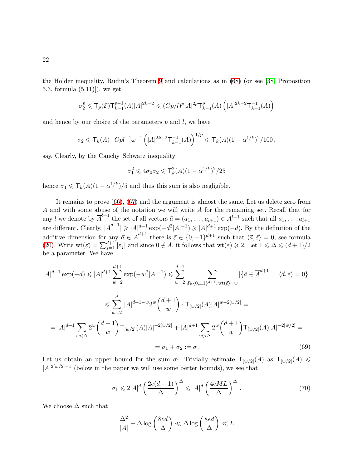the Hölder inequality, Rudin's Theorem [9](#page-7-4) and calculations as in  $(68)$  (or see [\[38,](#page-38-5) Proposition 5.3, formula (5.11)]), we get

$$
\sigma_2^p \leqslant {\sf T}_p(\mathcal{E}) {\sf T}_{k-1}^{p-1}(A) |A|^{2k-2} \leqslant (C p / l)^p |A|^{2p} {\sf T}_{k-1}^p(A) \left( |A|^{2k-2} {\sf T}_{k-1}^{-1}(A) \right)
$$

and hence by our choice of the parameters  $p$  and  $l$ , we have

$$
\sigma_2 \leq \mathsf{T}_k(A) \cdot Cpl^{-1} \omega^{-1} \left( |A|^{2k-2} \mathsf{T}_{k-1}^{-1}(A) \right)^{1/p} \leq \mathsf{T}_k(A) (1 - \alpha^{1/k})^2 / 100,
$$

say. Clearly, by the Cauchy–Schwarz inequality

$$
\sigma_1^2 \leq 4\sigma_0 \sigma_2 \leq \mathsf{T}_k^2(A)(1-\alpha^{1/k})^2/25
$$

hence  $\sigma_1 \leq \mathsf{T}_k(A)(1 - \alpha^{1/k})/5$  and thus this sum is also negligible.

It remains to prove [\(66\)](#page-20-1), [\(67\)](#page-20-0) and the argument is almost the same. Let us delete zero from A and with some abuse of the notation we will write A for the remaining set. Recall that for any l we denote by  $\overline{A}^{l+1}$  the set of all vectors  $\vec{a} = (a_1, \ldots, a_{l+1}) \in A^{l+1}$  such that all  $a_1, \ldots, a_{l+1}$ are different. Clearly,  $|\overline{A}^{d+1}| \geqslant |A|^{d+1} \exp(-d^2|A|^{-1}) \geqslant |A|^{d+1} \exp(-d)$ . By the definition of the additive dimension for any  $\vec{a} \in \overline{A}^{d+1}$  there is  $\vec{\varepsilon} \in \{0, \pm 1\}^{d+1}$  such that  $\langle \vec{a}, \vec{\varepsilon} \rangle = 0$ , see formula [\(20\)](#page-6-1). Write  $\text{wt}(\vec{\varepsilon}) = \sum_{j=1}^{d+1} |\varepsilon_j|$  and since  $0 \notin A$ , it follows that  $\text{wt}(\vec{\varepsilon}) \geq 2$ . Let  $1 \leq \Delta \leq (d+1)/2$ be a parameter. We have

$$
|A|^{d+1} \exp(-d) \leq |A|^{d+1} \sum_{w=2}^{d+1} \exp(-w^2 |A|^{-1}) \leq \sum_{w=2}^{d+1} \sum_{\vec{\varepsilon} \in \{0, \pm 1\}^{d+1}, \text{wt}(\vec{\varepsilon}) = w} |\{\vec{a} \in \overline{A}^{d+1} : \langle \vec{a}, \vec{\varepsilon} \rangle = 0\}|
$$
  

$$
\leq \sum_{w=2}^{d} |A|^{d+1-w} 2^w {d+1 \choose w} \cdot \mathsf{T}_{[w/2]}(A) |A|^{w-2[w/2]} =
$$
  

$$
= |A|^{d+1} \sum_{w \leq \Delta} 2^w {d+1 \choose w} \mathsf{T}_{[w/2]}(A) |A|^{-2[w/2]} + |A|^{d+1} \sum_{w > \Delta} 2^w {d+1 \choose w} \mathsf{T}_{[w/2]}(A) |A|^{-2[w/2]} =
$$
  

$$
= \sigma_1 + \sigma_2 := \sigma.
$$
 (69)

Let us obtain an upper bound for the sum  $\sigma_1$ . Trivially estimate  $\mathsf{T}_{[w/2]}(A)$  as  $\mathsf{T}_{[w/2]}(A) \leq$  $|A|^{2[w/2]-1}$  (below in the paper we will use some better bounds), we see that

<span id="page-21-0"></span>
$$
\sigma_1 \leq 2|A|^d \left(\frac{2e(d+1)}{\Delta}\right)^{\Delta} \leq |A|^d \left(\frac{4eML}{\Delta}\right)^{\Delta}.
$$
\n(70)

We choose  $\Delta$  such that

$$
\frac{\Delta^2}{|A|} + \Delta \log \left(\frac{8ed}{\Delta}\right) \ll \Delta \log \left(\frac{8ed}{\Delta}\right) \ll L
$$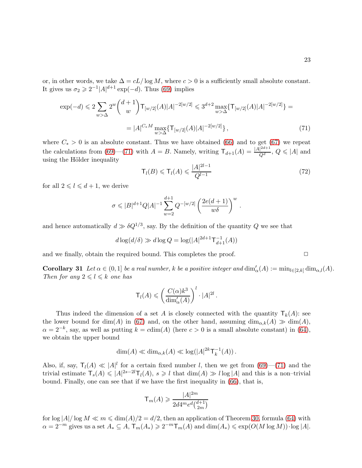or, in other words, we take  $\Delta = cL/\log M$ , where  $c > 0$  is a sufficiently small absolute constant. It gives us  $\sigma_2 \geqslant 2^{-1} |A|^{d+1} \exp(-d)$ . Thus [\(69\)](#page-21-0) implies

$$
\exp(-d) \leq 2 \sum_{w > \Delta} 2^w {d+1 \choose w} \mathsf{T}_{[w/2]}(A) |A|^{-2[w/2]} \leq 3^{d+2} \max_{w > \Delta} {\mathsf{T}_{[w/2]}(A) |A|^{-2[w/2]}} = |A|^{C_*M} \max_{w > \Delta} {\mathsf{T}_{[w/2]}(A) |A|^{-2[w/2]}} , \tag{71}
$$

where  $C_* > 0$  is an absolute constant. Thus we have obtained [\(66\)](#page-20-1) and to get [\(67\)](#page-20-0) we repeat the calculations from [\(69\)](#page-21-0)–[\(71\)](#page-22-0) with  $A = B$ . Namely, writing  $\mathsf{T}_{d+1}(A) = \frac{|A|^{2d+1}}{Q^d}$  $\frac{1}{Q^d}$ ,  $Q \leq |A|$  and using the Hölder inequality

<span id="page-22-0"></span>
$$
\mathsf{T}_{l}(B) \leqslant \mathsf{T}_{l}(A) \leqslant \frac{|A|^{2l-1}}{Q^{l-1}}\tag{72}
$$

for all  $2 \leq l \leq d+1$ , we derive

$$
\sigma \leqslant |B|^{d+1} Q |A|^{-1} \sum_{w=2}^{d+1} Q^{-[w/2]} \left( \frac{2e(d+1)}{w \delta} \right)^w.
$$

and hence automatically  $d \gg \delta Q^{1/3}$ , say. By the definition of the quantity Q we see that

$$
d\log(d/\delta) \gg d\log Q = \log(|A|^{2d+1} \mathsf{T}_{d+1}^{-1}(A))
$$

and we finally, obtain the required bound. This completes the proof.  $\Box$ 

**Corollary 31** Let  $\alpha \in (0,1]$  be a real number, k be a positive integer and  $\dim'_{\alpha}(A) := \min_{l \in [2,k]} \dim_{\alpha,l}(A)$ . Then for any  $2 \leq l \leq k$  one has

$$
\mathsf{T}_{l}(A) \leqslant \left(\frac{C(\alpha)k^3}{\dim_{\alpha}'(A)}\right)^{l} \cdot |A|^{2l}.
$$

Thus indeed the dimension of a set A is closely connected with the quantity  $\mathsf{T}_k(A)$ : see the lower bound for dim(A) in [\(67\)](#page-20-0) and, on the other hand, assuming  $\dim_{\alpha,k}(A) \gg \dim(A)$ ,  $\alpha = 2^{-k}$ , say, as well as putting  $k = \text{cdim}(A)$  (here  $c > 0$  is a small absolute constant) in [\(64\)](#page-20-2), we obtain the upper bound

$$
\dim(A) \ll \dim_{\alpha,k}(A) \ll \log(|A|^{2k} \mathsf{T}_{k}^{-1}(A)).
$$

Also, if, say,  $T_l(A) \ll |A|^l$  for a certain fixed number l, then we get from [\(69\)](#page-21-0)–[\(71\)](#page-22-0) and the trivial estimate  $\mathsf{T}_s(A) \leqslant |A|^{2s-2l}\mathsf{T}_l(A)$ ,  $s \geqslant l$  that  $\dim(A) \geqslant l \log|A|$  and this is a non-trivial bound. Finally, one can see that if we have the first inequality in [\(66\)](#page-20-1), that is,

$$
\mathsf{T}_m(A) \geqslant \frac{|A|^{2m}}{2d4^m e^d \binom{d+1}{2m}}
$$

for  $\log |A|/\log M \ll m \leq \dim(A)/2 = d/2$ , then an application of Theorem [30,](#page-20-0) formula [\(64\)](#page-20-2) with  $\alpha = 2^{-m}$  gives us a set  $A_* \subseteq A$ ,  $\mathsf{T}_m(A_*) \geqslant 2^{-m} \mathsf{T}_m(A)$  and  $\dim(A_*) \leqslant \exp(O(M \log M)) \cdot \log |A|$ .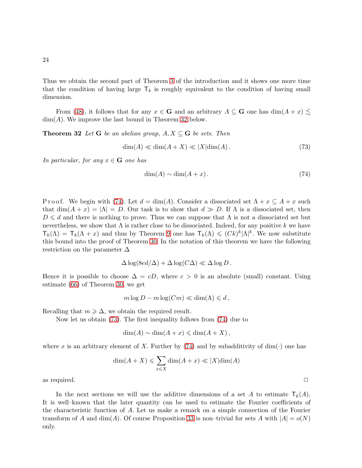Thus we obtain the second part of Theorem [3](#page-2-1) of the introduction and it shows one more time that the condition of having large  $\mathsf{T}_k$  is roughly equivalent to the condition of having small dimension.

From [\(48\)](#page-15-1), it follows that for any  $x \in \mathbf{G}$  and an arbitrary  $A \subseteq \mathbf{G}$  one has  $\dim(A + x) \leq$  $dim(A)$ . We improve the last bound in Theorem [32](#page-23-0) below.

**Theorem 32** Let **G** be an abelian group,  $A, X \subseteq G$  be sets. Then

<span id="page-23-1"></span>
$$
\dim(A) \ll \dim(A + X) \ll |X| \dim(A). \tag{73}
$$

In particular, for any  $x \in \mathbf{G}$  one has

<span id="page-23-0"></span>
$$
\dim(A) \sim \dim(A + x). \tag{74}
$$

P r o o f. We begin with [\(74\)](#page-23-0). Let  $d = \dim(A)$ . Consider a dissociated set  $\Lambda + x \subseteq A + x$  such that  $\dim(A+x) = |\Lambda| = D$ . Our task is to show that  $d \gg D$ . If  $\Lambda$  is a dissociated set, then  $D \leq d$  and there is nothing to prove. Thus we can suppose that  $\Lambda$  is not a dissociated set but nevertheless, we show that  $\Lambda$  is rather close to be dissociated. Indeed, for any positive k we have  $\mathsf{T}_k(\Lambda) = \mathsf{T}_k(\Lambda + x)$  and thus by Theorem [9](#page-7-4) one has  $\mathsf{T}_k(\Lambda) \leqslant (Ck)^k |\Lambda|^k$ . We now substitute this bound into the proof of Theorem [30.](#page-20-0) In the notation of this theorem we have the following restriction on the parameter ∆

$$
\Delta \log(8ed/\Delta) + \Delta \log(C\Delta) \ll \Delta \log D.
$$

Hence it is possible to choose  $\Delta = cD$ , where  $c > 0$  is an absolute (small) constant. Using estimate [\(66\)](#page-20-1) of Theorem [30,](#page-20-0) we get

$$
m \log D - m \log(Cm) \ll \dim(\Lambda) \leq d,
$$

Recalling that  $m \geqslant \Delta$ , we obtain the required result.

Now let us obtain [\(73\)](#page-23-1). The first inequality follows from [\(74\)](#page-23-0) due to

$$
\dim(A) \sim \dim(A + x) \leqslant \dim(A + X),
$$

where x is an arbitrary element of X. Further by [\(74\)](#page-23-0) and by subadditivity of dim( $\cdot$ ) one has

$$
\dim(A + X) \le \sum_{x \in X} \dim(A + x) \ll |X| \dim(A)
$$

as required.  $\Box$ 

<span id="page-23-2"></span>In the next sections we will use the additive dimensions of a set A to estimate  $T_k(A)$ . It is well–known that the later quantity can be used to estimate the Fourier coefficients of the characteristic function of A. Let us make a remark on a simple connection of the Fourier transform of A and dim(A). Of course Proposition [33](#page-23-2) is non–trivial for sets A with  $|A| = o(N)$ only.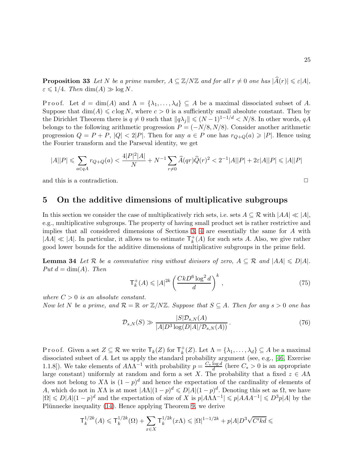**Proposition 33** Let N be a prime number,  $A \subseteq \mathbb{Z}/N\mathbb{Z}$  and for all  $r \neq 0$  one has  $|\widehat{A}(r)| \leq \varepsilon |A|$ ,  $\varepsilon \leqslant 1/4$ . Then  $\dim(A) \gg \log N$ .

Proof. Let  $d = \dim(A)$  and  $\Lambda = \{\lambda_1, \ldots, \lambda_d\} \subseteq A$  be a maximal dissociated subset of A. Suppose that  $\dim(A) \leqslant c \log N$ , where  $c > 0$  is a sufficiently small absolute constant. Then by the Dirichlet Theorem there is  $q \neq 0$  such that  $||q\lambda_j|| \leq (N-1)^{1-1/d} < N/8$ . In other words,  $qA$ belongs to the following arithmetic progression  $P = (-N/8, N/8)$ . Consider another arithmetic progression  $Q = P + P$ ,  $|Q| < 2|P|$ . Then for any  $a \in P$  one has  $r_{Q+Q}(a) \geq |P|$ . Hence using the Fourier transform and the Parseval identity, we get

$$
|A||P| \leq \sum_{a \in qA} r_{Q+Q}(a) < \frac{4|P|^2|A|}{N} + N^{-1} \sum_{r \neq 0} \widehat{A}(qr)\widehat{Q}(r)^2 < 2^{-1}|A||P| + 2\varepsilon|A||P| \leq |A||P|
$$

<span id="page-24-0"></span>and this is a contradiction.  $\Box$ 

### 5 On the additive dimensions of multiplicative subgroups

In this section we consider the case of multiplicatively rich sets, i.e. sets  $A \subseteq \mathcal{R}$  with  $|AA| \ll |A|$ , e.g., multiplicative subgroups. The property of having small product set is rather restrictive and implies that all considered dimensions of Sections [3,](#page-9-4) [4](#page-19-0) are essentially the same for A with  $|AA| \ll |A|.$  In particular, it allows us to estimate  $\mathsf{T}^+_k$  $\kappa_k^+(A)$  for such sets A. Also, we give rather good lower bounds for the additive dimensions of multiplicative subgroups in the prime field.

**Lemma 34** Let R be a commutative ring without divisors of zero,  $A \subseteq \mathcal{R}$  and  $|AA| \le D|A|$ . Put  $d = \dim(A)$ . Then

$$
\mathsf{T}_{k}^{+}(A) \leqslant |A|^{2k} \left(\frac{Ck D^{6} \log^{2} d}{d}\right)^{k},\tag{75}
$$

where  $C > 0$  is an absolute constant.

Now let N be a prime, and  $\mathcal{R} = \mathbb{R}$  or  $\mathbb{Z}/N\mathbb{Z}$ . Suppose that  $S \subseteq A$ . Then for any  $s > 0$  one has

<span id="page-24-1"></span>
$$
\mathcal{D}_{s,N}(S) \gg \frac{|S|\mathcal{D}_{s,N}(A)}{|A|D^3\log(D|A|/\mathcal{D}_{s,N}(A))}.
$$
\n(76)

P r o o f. Given a set  $Z \subseteq \mathcal{R}$  we write  $\mathsf{T}_k(Z)$  for  $\mathsf{T}_k^+$  $\chi_k^+(Z)$ . Let  $\Lambda = {\lambda_1, \ldots, \lambda_d} \subseteq A$  be a maximal dissociated subset of A. Let us apply the standard probability argument (see, e.g., [\[46,](#page-39-1) Exercise 1.1.8]). We take elements of  $A\Lambda\Lambda^{-1}$  with probability  $p = \frac{C_* \log d}{d}$  (here  $C_* > 0$  is an appropriate large constant) uniformly at random and form a set X. The probability that a fixed  $z \in A\Lambda$ does not belong to X $\Lambda$  is  $(1-p)^d$  and hence the expectation of the cardinality of elements of A, which do not in X $\Lambda$  is at most  $|A\Lambda|(1-p)^d \le D|A|(1-p)^d$ . Denoting this set as  $\Omega$ , we have  $|\Omega| \leq D|A|(1-p)^d$  and the expectation of size of X is  $p|A\Lambda\Lambda^{-1}| \leq p|AAA^{-1}| \leq D^3p|A|$  by the Plünnecke inequality  $(14)$ . Hence applying Theorem [9,](#page-7-4) we derive

$$
\mathsf{T}_{k}^{1/2k}(A) \leqslant \mathsf{T}_{k}^{1/2k}(\Omega) + \sum_{x \in X} \mathsf{T}_{k}^{1/2k}(x\Lambda) \leqslant |\Omega|^{1-1/2k} + p|A|D^{3}\sqrt{C'kd} \leqslant
$$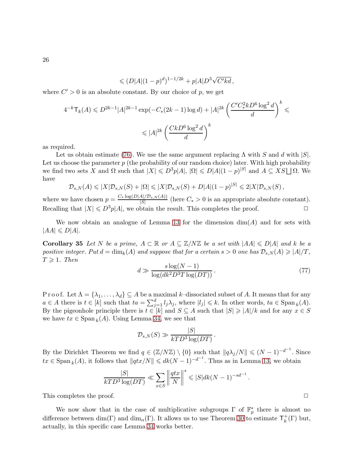$$
\leqslant (D|A|(1-p)^d)^{1-1/2k} + p|A|D^3\sqrt{C'kd}\,,
$$

where  $C' > 0$  is an absolute constant. By our choice of p, we get

$$
4^{-k} \mathsf{T}_{k}(A) \leqslant D^{2k-1} |A|^{2k-1} \exp(-C_{*}(2k-1)\log d) + |A|^{2k} \left(\frac{C'C_{*}^{2}kD^{6}\log^{2}d}{d}\right)^{k} \leqslant
$$
  

$$
\leqslant |A|^{2k} \left(\frac{CkD^{6}\log^{2}d}{d}\right)^{k}
$$

as required.

Let us obtain estimate [\(76\)](#page-24-1). We use the same argument replacing  $\Lambda$  with S and d with  $|S|$ . Let us choose the parameter  $p$  (the probability of our random choice) later. With high probability we find two sets X and  $\Omega$  such that  $|X| \leq D^3p|A|, |\Omega| \leq D|A|(1-p)^{|S|}$  and  $A \subseteq XS \sqcup \Omega$ . We have

$$
\mathcal{D}_{s,N}(A) \leqslant |X|\mathcal{D}_{s,N}(S) + |\Omega| \leqslant |X|\mathcal{D}_{s,N}(S) + D|A|(1-p)^{|S|} \leqslant 2|X|\mathcal{D}_{s,N}(S),
$$

where we have chosen  $p = \frac{C_* \log(D|A|/D_{s,N}(A))}{|S|}$  (here  $C_* > 0$  is an appropriate absolute constant). Recalling that  $|X| \le D^3p|A|$ , we obtain the result. This completes the proof.  $\Box$ 

We now obtain an analogue of Lemma [13](#page-8-1) for the dimension  $dim(A)$  and for sets with  $|AA| \le D|A|$ .

**Corollary 35** Let N be a prime,  $A \subseteq \mathbb{R}$  or  $A \subseteq \mathbb{Z}/N\mathbb{Z}$  be a set with  $|AA| \le D|A|$  and k be a positive integer. Put  $d = \dim_k(A)$  and suppose that for a certain  $s > 0$  one has  $\mathcal{D}_{s,N}(A) \geqslant |A|/T$ ,  $T \geqslant 1$ . Then

<span id="page-25-0"></span>
$$
d \gg \frac{s \log(N-1)}{\log(dk^2 D^3 T \log(DT))}.
$$
\n(77)

Proof. Let  $\Lambda = \{\lambda_1, \ldots, \lambda_d\} \subseteq A$  be a maximal k–dissociated subset of A. It means that for any  $a \in A$  there is  $t \in [k]$  such that  $ta = \sum_{j=1}^d l_j \lambda_j$ , where  $|l_j| \leq k$ . In other words,  $ta \in \text{Span}_k(A)$ . By the pigeonhole principle there is  $t \in [k]$  and  $S \subseteq A$  such that  $|S| \geq |A|/k$  and for any  $x \in S$ we have  $tx \in \text{Span}_k(A)$ . Using Lemma [34,](#page-24-1) we see that

$$
\mathcal{D}_{s,N}(S) \gg \frac{|S|}{kTD^3\log(DT)}.
$$

By the Dirichlet Theorem we find  $q \in (\mathbb{Z}/N\mathbb{Z}) \setminus \{0\}$  such that  $||q\lambda_j/N|| \leq (N-1)^{-d^{-1}}$ . Since  $tx \in \text{Span}_k(A)$ , it follows that  $||qtx/N|| \leq dk(N-1)^{-d^{-1}}$ . Thus as in Lemma [13,](#page-8-1) we obtain

$$
\frac{|S|}{kTD^3\log(DT)} \ll \sum_{x\in S} \left\| \frac{qtx}{N} \right\|^s \leqslant |S| dk (N-1)^{-sd-1}.
$$

This completes the proof.  $\Box$ 

We now show that in the case of multiplicative subgroups  $\Gamma$  of  $\mathbb{F}_p^*$  there is almost no difference between dim(Γ) and dim<sub>α</sub>(Γ). It allows us to use Theorem [30](#page-20-0) to estimate  $\mathsf{T}_{k}^{+}$  $_k^+(\Gamma)$  but, actually, in this specific case Lemma [34](#page-24-1) works better.

26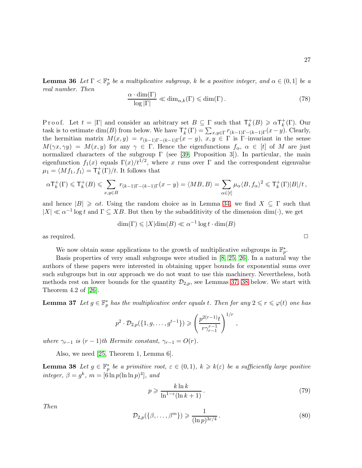27

**Lemma 36** Let  $\Gamma < \mathbb{F}_p^*$  be a multiplicative subgroup, k be a positive integer, and  $\alpha \in (0,1]$  be a real number. Then

$$
\frac{\alpha \cdot \dim(\Gamma)}{\log|\Gamma|} \ll \dim_{\alpha,k}(\Gamma) \le \dim(\Gamma). \tag{78}
$$

P r o o f. Let  $t = |\Gamma|$  and consider an arbitrary set  $B \subseteq \Gamma$  such that  $\mathsf{T}_k^+$  $_{k}^{+}(B) \geqslant \alpha \mathsf{T}_{k}^{+}$  $_k^+(\Gamma)$ . Our task is to estimate  $\dim(B)$  from below. We have  $\mathsf{T}_{k}^{+}$  $k_{k}^{+}(\Gamma) = \sum_{x,y \in \Gamma} r_{(k-1)\Gamma-(k-1)\Gamma}(x-y)$ . Clearly, the hermitian matrix  $M(x, y) = r_{(k-1)\Gamma-(k-1)\Gamma}(x - y)$ ,  $x, y \in \Gamma$  is Γ-invariant in the sense  $M(\gamma x, \gamma y) = M(x, y)$  for any  $\gamma \in \Gamma$ . Hence the eigenfunctions  $f_{\alpha}, \alpha \in [t]$  of M are just normalized characters of the subgroup  $\Gamma$  (see [\[39,](#page-38-6) Proposition 3]). In particular, the main eigenfunction  $f_1(x)$  equals  $\Gamma(x)/t^{1/2}$ , where x runs over  $\Gamma$  and the correspondent eigenvalue  $\mu_1 = \langle Mf_1, f_1 \rangle = \mathsf{T}^+_k$  $\frac{1}{k}(\Gamma)/t$ . It follows that

$$
\alpha {\mathsf T}^+_k(\Gamma) \leqslant {\mathsf T}^+_k(B) \leqslant \sum_{x,y \in B} r_{(k-1)\Gamma-(k-1)\Gamma}(x-y) = \langle MB, B \rangle = \sum_{\alpha \in [t]} \mu_\alpha \langle B, f_\alpha \rangle^2 \leqslant {\mathsf T}^+_k(\Gamma) |B|/t\,,
$$

and hence  $|B| \geq \alpha t$ . Using the random choice as in Lemma [34,](#page-24-1) we find  $X \subseteq \Gamma$  such that  $|X| \ll \alpha^{-1} \log t$  and  $\Gamma \subseteq XB$ . But then by the subadditivity of the dimension dim( $\cdot$ ), we get

$$
\dim(\Gamma) \leqslant |X| \dim(B) \ll \alpha^{-1} \log t \cdot \dim(B)
$$

as required.  $\Box$ 

We now obtain some applications to the growth of multiplicative subgroups in  $\mathbb{F}_p^*$ .

Basis properties of very small subgroups were studied in [\[8,](#page-37-3) [25,](#page-38-7) [26\]](#page-38-1). In a natural way the authors of these papers were interested in obtaining upper bounds for exponential sums over such subgroups but in our approach we do not want to use this machinery. Nevertheless, both methods rest on lower bounds for the quantity  $\mathcal{D}_{2,p}$ , see Lemmas [37,](#page-26-0) [38](#page-26-1) below. We start with Theorem 4.2 of [\[26\]](#page-38-1).

<span id="page-26-0"></span>**Lemma 37** Let  $g \in \mathbb{F}_p^*$  has the multiplicative order equals t. Then for any  $2 \leq r \leq \varphi(t)$  one has

$$
p^2 \cdot \mathcal{D}_{2,p}(\lbrace 1, g, \ldots, g^{t-1} \rbrace) \geqslant \left( \frac{p^{2(r-1)}t}{r \gamma_{r-1}^{r-1}} \right)^{1/r},
$$

where  $\gamma_{r-1}$  is  $(r-1)$ th Hermite constant,  $\gamma_{r-1} = O(r)$ .

Also, we need [\[25,](#page-38-7) Theorem 1, Lemma 6].

**Lemma 38** Let  $g \in \mathbb{F}_p^*$  be a primitive root,  $\varepsilon \in (0,1)$ ,  $k \geq k(\varepsilon)$  be a sufficiently large positive integer,  $\beta = g^k$ ,  $m = [6 \ln p(\ln \ln p)^4]$ , and

$$
p \geqslant \frac{k \ln k}{\ln^{1-\varepsilon}(\ln k + 1)}.
$$
\n<sup>(79)</sup>

Then

<span id="page-26-1"></span>
$$
\mathcal{D}_{2,p}(\{\beta,\ldots,\beta^m\}) \geqslant \frac{1}{(\ln p)^{3\varepsilon/4}}\,. \tag{80}
$$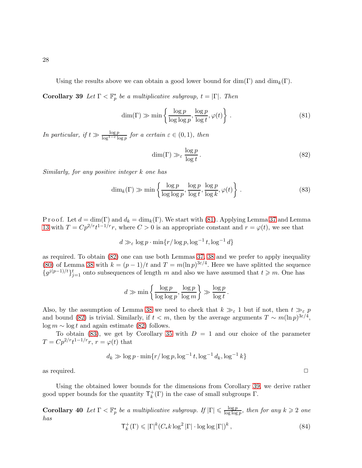Using the results above we can obtain a good lower bound for  $\dim(\Gamma)$  and  $\dim_k(\Gamma)$ .

**Corollary 39** Let  $\Gamma < \mathbb{F}_p^*$  be a multiplicative subgroup,  $t = |\Gamma|$ . Then

<span id="page-27-0"></span>
$$
\dim(\Gamma) \gg \min\left\{\frac{\log p}{\log \log p}, \frac{\log p}{\log t}, \varphi(t)\right\}.
$$
\n(81)

In particular, if  $t \gg \frac{\log p}{\log^{1-\varepsilon} \log p}$  for a certain  $\varepsilon \in (0,1)$ , then

<span id="page-27-1"></span>
$$
\dim(\Gamma) \gg_{\varepsilon} \frac{\log p}{\log t}.\tag{82}
$$

Similarly, for any positive integer k one has

<span id="page-27-2"></span>
$$
\dim_k(\Gamma) \gg \min\left\{\frac{\log p}{\log \log p}, \frac{\log p}{\log t}, \frac{\log p}{\log k}, \varphi(t)\right\}.
$$
\n(83)

P r o o f. Let  $d = \dim(\Gamma)$  and  $d_k = \dim_k(\Gamma)$ . We start with [\(81\)](#page-27-0). Applying Lemma [37](#page-26-0) and Lemma [13](#page-8-1) with  $T = Cp^{2/r}t^{1-1/r}r$ , where  $C > 0$  is an appropriate constant and  $r = \varphi(t)$ , we see that

$$
d \gg_{\varepsilon} \log p \cdot \min\{r/\log p, \log^{-1} t, \log^{-1} d\}
$$

as required. To obtain [\(82\)](#page-27-1) one can use both Lemmas [37,](#page-26-0) [38](#page-26-1) and we prefer to apply inequality [\(80\)](#page-26-1) of Lemma [38](#page-26-1) with  $k = (p-1)/t$  and  $T = m(\ln p)^{3\varepsilon/4}$ . Here we have splitted the sequence  ${g^{j(p-1)/t}}_{j=1}^t$  onto subsequences of length m and also we have assumed that  $t \geq m$ . One has

$$
d \gg \min\left\{\frac{\log p}{\log\log p}, \frac{\log p}{\log m}\right\} \gg \frac{\log p}{\log t}.
$$

Also, by the assumption of Lemma [38](#page-26-1) we need to check that  $k \gg_{\varepsilon} 1$  but if not, then  $t \gg_{\varepsilon} p$ and bound [\(82\)](#page-27-1) is trivial. Similarly, if  $t < m$ , then by the average arguments  $T \sim m(\ln p)^{3\varepsilon/4}$ ,  $log m \sim log t$  and again estimate [\(82\)](#page-27-1) follows.

To obtain [\(83\)](#page-27-2), we get by Corollary [35](#page-25-0) with  $D = 1$  and our choice of the parameter  $T = Cp^{2/r}t^{1-1/r}r$ ,  $r = \varphi(t)$  that

$$
d_k \gg \log p \cdot \min\{r/\log p, \log^{-1} t, \log^{-1} d_k, \log^{-1} k\}
$$

as required.  $\Box$ 

Using the obtained lower bounds for the dimensions from Corollary [39,](#page-27-2) we derive rather good upper bounds for the quantity  $\mathsf{T}_k^+$  $_{k}^{+}(\Gamma)$  in the case of small subgroups  $\Gamma$ .

**Corollary 40** Let  $\Gamma < \mathbb{F}_p^*$  be a multiplicative subgroup. If  $|\Gamma| \leq \frac{\log p}{\log \log p}$  $\frac{\log p}{\log \log p}$ , then for any  $k \geqslant 2$  one has  $\mathsf{T}^+_i$  $\binom{+}{k} \leqslant |\Gamma|^k (C_* k \log^2 |\Gamma| \cdot \log \log |\Gamma|)^k$ , (84)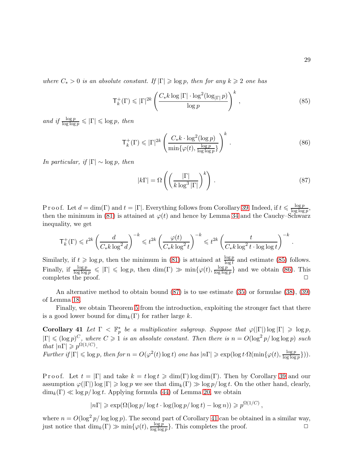where  $C_* > 0$  is an absolute constant. If  $|\Gamma| \geqslant \log p$ , then for any  $k \geqslant 2$  one has

<span id="page-28-2"></span>
$$
\mathsf{T}_{k}^{+}(\Gamma) \leqslant |\Gamma|^{2k} \left( \frac{C_{*} k \log |\Gamma| \cdot \log^{2}(\log_{|\Gamma|} p)}{\log p} \right)^{k},\tag{85}
$$

and if  $\frac{\log p}{\log \log p} \leqslant |\Gamma| \leqslant \log p$ , then

<span id="page-28-3"></span>
$$
\mathsf{T}_{k}^{+}(\Gamma) \leqslant |\Gamma|^{2k} \left( \frac{C_{*}k \cdot \log^{2}(\log p)}{\min\{\varphi(t), \frac{\log p}{\log \log p}\}} \right)^{k} . \tag{86}
$$

In particular, if  $|\Gamma| \sim \log p$ , then

<span id="page-28-0"></span>
$$
|k\Gamma| = \Omega\left( \left(\frac{|\Gamma|}{k \log^3 |\Gamma|}\right)^k \right). \tag{87}
$$

,

Proof. Let  $d = \dim(\Gamma)$  and  $t = |\Gamma|$ . Everything follows from Corollary [39.](#page-27-2) Indeed, if  $t \leq \frac{\log p}{\log \log n}$  $\frac{\log p}{\log \log p},$ then the minimum in [\(81\)](#page-27-0) is attained at  $\varphi(t)$  and hence by Lemma [34](#page-24-1) and the Cauchy–Schwarz inequality, we get

$$
\mathsf{T}^+_k(\Gamma) \leqslant t^{2k} \left( \frac{d}{C_* k \log^2 d} \right)^{-k} \leqslant t^{2k} \left( \frac{\varphi(t)}{C_* k \log^2 t} \right)^{-k} \leqslant t^{2k} \left( \frac{t}{C_* k \log^2 t \cdot \log \log t} \right)^{-k} \, .
$$

Similarly, if  $t \geqslant \log p$ , then the minimum in [\(81\)](#page-27-0) is attained at  $\frac{\log p}{\log t}$  and estimate [\(85\)](#page-28-2) follows. Finally, if  $\frac{\log p}{\log \log p} \leqslant |\Gamma| \leqslant \log p$ , then  $\dim(\Gamma) \gg \min\{\varphi(t), \frac{\log p}{\log \log n}\}$  $\frac{\log p}{\log \log p}$  and we obtain [\(86\)](#page-28-3). This completes the proof.  $\square$ 

An alternative method to obtain bound [\(87\)](#page-28-0) is to use estimate [\(35\)](#page-11-1) or formulae [\(38\)](#page-11-4), [\(39\)](#page-11-0) of Lemma [18.](#page-11-0)

<span id="page-28-1"></span>Finally, we obtain Theorem [5](#page-3-2) from the introduction, exploiting the stronger fact that there is a good lower bound for  $\dim_k(\Gamma)$  for rather large k.

Corollary 41 Let  $\Gamma < \mathbb{F}_p^*$  be a multiplicative subgroup. Suppose that  $\varphi(|\Gamma|) \log |\Gamma| \geqslant \log p$ ,  $|\Gamma| \leqslant (\log p)^C$ , where  $C \geqslant 1$  is an absolute constant. Then there is  $n = O(\log^2 p / \log \log p)$  such that  $|n\Gamma| \geq p^{\Omega(1/C)}$ .

Further if  $|\Gamma| \leqslant \log p$ , then for  $n = O(\varphi^2(t) \log t)$  one has  $|n\Gamma| \geqslant \exp(\log t \cdot \Omega(\min\{\varphi(t), \frac{\log p}{\log \log n})\})$  $\frac{\log p}{\log \log p}\})$ ).

P r o o f. Let  $t = |\Gamma|$  and take  $k = t \log t \geq \dim(\Gamma) \log \dim(\Gamma)$ . Then by Corollary [39](#page-27-2) and our assumption  $\varphi(|\Gamma|)$  log  $|\Gamma| \geqslant \log p$  we see that  $\dim_k(\Gamma) \geqslant \log p / \log t$ . On the other hand, clearly,  $\dim_k(\Gamma) \ll \log p / \log t$ . Applying formula [\(44\)](#page-12-0) of Lemma [20,](#page-12-0) we obtain

$$
|n\Gamma| \ge \exp(\Omega(\log p/\log t \cdot \log(\log p/\log t) - \log n)) \ge p^{\Omega(1/C)}
$$

where  $n = O(\log^2 p/\log \log p)$ . The second part of Corollary [41](#page-28-1) can be obtained in a similar way, just notice that  $\dim_k(\Gamma) \gg \min\{\varphi(t), \frac{\log p}{\log \log n}\}$  $\frac{\log p}{\log \log p}$ . This completes the proof.  $\Box$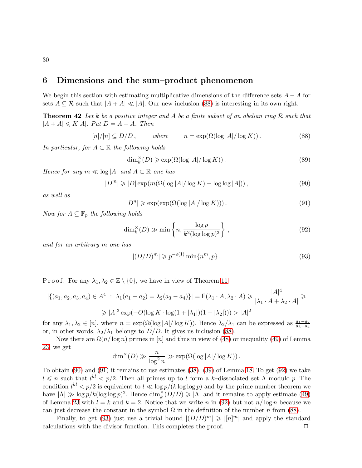### <span id="page-29-0"></span>6 Dimensions and the sum–product phenomenon

We begin this section with estimating multiplicative dimensions of the difference sets  $A - A$  for sets  $A \subseteq \mathcal{R}$  such that  $|A + A| \ll |A|$ . Our new inclusion [\(88\)](#page-29-1) is interesting in its own right.

**Theorem 42** Let k be a positive integer and A be a finite subset of an abelian ring  $\mathcal{R}$  such that  $|A + A| \le K|A|$ . Put  $D = A - A$ . Then

<span id="page-29-1"></span>
$$
[n]/[n] \subseteq D/D, \qquad \text{where} \qquad n = \exp(\Omega(\log |A|/\log K)). \tag{88}
$$

In particular, for  $A \subset \mathbb{R}$  the following holds

$$
\dim_k^{\times}(D) \geqslant \exp(\Omega(\log |A|/\log K)).\tag{89}
$$

Hence for any  $m \ll \log |A|$  and  $A \subset \mathbb{R}$  one has

<span id="page-29-2"></span>
$$
|D^m| \geq |D| \exp\left(m(\Omega(\log |A|/\log K) - \log \log |A|)\right),\tag{90}
$$

as well as

<span id="page-29-3"></span>
$$
|D^n| \ge \exp(\exp(\Omega(\log |A|/\log K))). \tag{91}
$$

Now for  $A \subseteq \mathbb{F}_p$  the following holds

<span id="page-29-4"></span>
$$
\dim_k^{\times}(D) \gg \min\left\{n, \frac{\log p}{k^2(\log\log p)^3}\right\},\tag{92}
$$

and for an arbitrary m one has

<span id="page-29-5"></span>
$$
|(D/D)^m| \geqslant p^{-o(1)} \min\{n^m, p\}.
$$
\n(93)

P r o o f. For any  $\lambda_1, \lambda_2 \in \mathbb{Z} \setminus \{0\}$ , we have in view of Theorem [11](#page-8-2)

$$
|\{(a_1, a_2, a_3, a_4) \in A^4 : \lambda_1(a_1 - a_2) = \lambda_2(a_3 - a_4)\}| = \mathsf{E}(\lambda_1 \cdot A, \lambda_2 \cdot A) \ge \frac{|A|^4}{|\lambda_1 \cdot A + \lambda_2 \cdot A|} \ge
$$
  
 
$$
\ge |A|^3 \exp(-O(\log K \cdot \log(1 + |\lambda_1|)(1 + |\lambda_2|))) > |A|^2
$$

for any  $\lambda_1, \lambda_2 \in [n]$ , where  $n = \exp(\Omega(\log |A|/\log K))$ . Hence  $\lambda_2/\lambda_1$  can be expressed as  $\frac{a_1-a_2}{a_3-a_4}$ or, in other words,  $\lambda_2/\lambda_1$  belongs to  $D/D$ . It gives us inclusion [\(88\)](#page-29-1).

Now there are  $\Omega(n/\log n)$  primes in [n] and thus in view of [\(48\)](#page-15-1) or inequality [\(49\)](#page-15-2) of Lemma [23,](#page-15-0) we get

$$
\dim^{\times}(D) \gg \frac{n}{\log^2 n} \gg \exp(\Omega(\log |A|/\log K)).
$$

To obtain [\(90\)](#page-29-2) and [\(91\)](#page-29-3) it remains to use estimates [\(38\)](#page-11-4), [\(39\)](#page-11-0) of Lemma [18.](#page-11-0) To get [\(92\)](#page-29-4) we take  $l \leqslant n$  such that  $l^{kl} < p/2$ . Then all primes up to l form a k-dissociated set  $\Lambda$  modulo p. The condition  $l^{kl} < p/2$  is equivalent to  $l \ll \log p/(k \log \log p)$  and by the prime number theorem we have  $|\Lambda| \gg \log p / k (\log \log p)^2$ . Hence  $\dim_k^{\times}(D/D) \geq |\Lambda|$  and it remains to apply estimate [\(49\)](#page-15-2) of Lemma [23](#page-15-0) with  $l = k$  and  $k = 2$ . Notice that we write n in [\(92\)](#page-29-4) but not  $n/\log n$  because we can just decrease the constant in the symbol  $\Omega$  in the definition of the number n from [\(88\)](#page-29-1).

Finally, to get [\(93\)](#page-29-5) just use a trivial bound  $|(D/D)^m| \geq |[n]^m|$  and apply the standard calculations with the divisor function. This completes the proof.  $\Box$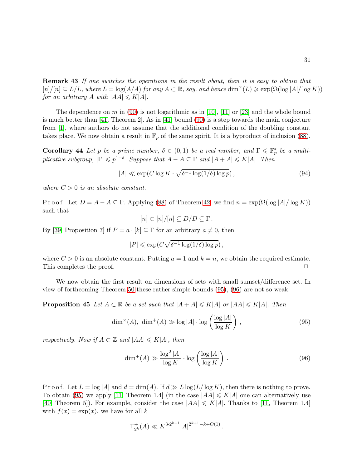Remark 43 If one switches the operations in the result about, then it is easy to obtain that  $[n]/[n] \subseteq L/L$ , where  $L = \log(A/A)$  for any  $A \subset \mathbb{R}$ , say, and hence  $\dim^{\times}(L) \geq \exp(\Omega(\log |A|/\log K))$ for an arbitrary A with  $|AA| \leq K|A|$ .

The dependence on m in [\(90\)](#page-29-2) is not logarithmic as in [\[10\]](#page-37-13), [\[11\]](#page-37-14) or [\[23\]](#page-37-15) and the whole bound is much better than [\[41,](#page-38-15) Theorem 2]. As in [\[41\]](#page-38-15) bound [\(90\)](#page-29-2) is a step towards the main conjecture from [\[1\]](#page-36-6), where authors do not assume that the additional condition of the doubling constant takes place. We now obtain a result in  $\mathbb{F}_p$  of the same spirit. It is a byproduct of inclusion [\(88\)](#page-29-1).

**Corollary 44** Let p be a prime number,  $\delta \in (0,1)$  be a real number, and  $\Gamma \leq \mathbb{F}_p^*$  be a multiplicative subgroup,  $|\Gamma| \leqslant p^{1-\delta}$ . Suppose that  $A - A \subseteq \Gamma$  and  $|A + A| \leqslant K|A|$ . Then

$$
|A| \ll \exp(C \log K \cdot \sqrt{\delta^{-1} \log(1/\delta) \log p}), \tag{94}
$$

where  $C > 0$  is an absolute constant.

P r o o f. Let  $D = A - A \subseteq \Gamma$ . Applying [\(88\)](#page-29-1) of Theorem [42,](#page-29-5) we find  $n = \exp(\Omega(\log |A|/\log K))$ such that

$$
[n] \subset [n]/[n] \subseteq D/D \subseteq \Gamma.
$$

By [\[39,](#page-38-6) Proposition 7] if  $P = a \cdot [k] \subseteq \Gamma$  for an arbitrary  $a \neq 0$ , then

$$
|P| \leqslant \exp(C\sqrt{\delta^{-1}\log(1/\delta)\log p})\,,
$$

where  $C > 0$  is an absolute constant. Putting  $a = 1$  and  $k = n$ , we obtain the required estimate. This completes the proof.  $\Box$ 

We now obtain the first result on dimensions of sets with small sumset/difference set. In view of forthcoming Theorem [50](#page-34-0) these rather simple bounds [\(95\)](#page-30-0), [\(96\)](#page-30-1) are not so weak.

**Proposition 45** Let  $A \subset \mathbb{R}$  be a set such that  $|A + A| \le K|A|$  or  $|AA| \le K|A|$ . Then

<span id="page-30-0"></span>
$$
\dim^{\times}(A), \ \dim^+(A) \gg \log|A| \cdot \log\left(\frac{\log|A|}{\log K}\right),\tag{95}
$$

respectively. Now if  $A \subset \mathbb{Z}$  and  $|AA| \le K|A|$ , then

<span id="page-30-1"></span>
$$
\dim^+(A) \gg \frac{\log^2|A|}{\log K} \cdot \log\left(\frac{\log|A|}{\log K}\right). \tag{96}
$$

P r o o f. Let  $L = \log |A|$  and  $d = \dim(A)$ . If  $d \gg L \log(L/\log K)$ , then there is nothing to prove. To obtain [\(95\)](#page-30-0) we apply [\[11,](#page-37-14) Theorem 1.4] (in the case  $|AA| \le K|A|$  one can alternatively use [\[40,](#page-38-16) Theorem 5]). For example, consider the case  $|AA| \le K|A|$ . Thanks to [\[11,](#page-37-14) Theorem 1.4] with  $f(x) = \exp(x)$ , we have for all k

$$
\mathsf{T}^+_{2^k}(A) \ll K^{3 \cdot 2^{k+1}} |A|^{2^{k+1} - k + O(1)}.
$$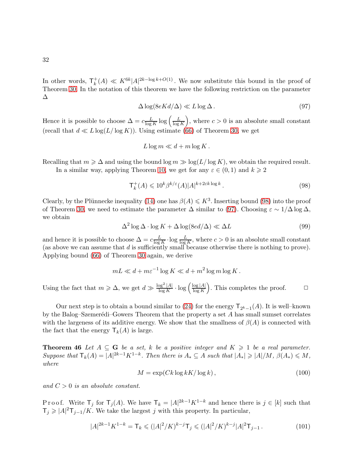In other words,  $\mathsf{T}^+_k$  $k<sub>k</sub><sup>+</sup>(A) \ll K<sup>6k</sup>|A|<sup>2k-log k+O(1)</sup>$ . We now substitute this bound in the proof of Theorem [30.](#page-20-0) In the notation of this theorem we have the following restriction on the parameter ∆

<span id="page-31-1"></span>
$$
\Delta \log(8eKd/\Delta) \ll L \log \Delta. \tag{97}
$$

Hence it is possible to choose  $\Delta = c \frac{L}{\log a}$  $\frac{L}{\log K} \log \left( \frac{L}{\log K} \right)$  $\log K$ ), where  $c > 0$  is an absolute small constant (recall that  $d \ll L \log(L/\log K)$ ). Using estimate [\(66\)](#page-20-1) of Theorem [30,](#page-20-0) we get

$$
L\log m \ll d + m\log K.
$$

Recalling that  $m \geq \Delta$  and using the bound log  $m \gg \log(L/\log K)$ , we obtain the required result. In a similar way, applying Theorem [10,](#page-7-5) we get for any  $\varepsilon \in (0,1)$  and  $k \geq 2$ 

<span id="page-31-0"></span>
$$
\mathsf{T}_{k}^{+}(A) \leqslant 10^{k} \beta^{k/\varepsilon}(A) |A|^{k+2\varepsilon k \log k}.
$$
\n(98)

Clearly, by the Plünnecke inequality [\(14\)](#page-5-1) one has  $\beta(A) \leq K^3$ . Inserting bound [\(98\)](#page-31-0) into the proof of Theorem [30,](#page-20-0) we need to estimate the parameter  $\Delta$  similar to [\(97\)](#page-31-1). Choosing  $\varepsilon \sim 1/\Delta \log \Delta$ , we obtain

<span id="page-31-4"></span>
$$
\Delta^2 \log \Delta \cdot \log K + \Delta \log(8ed/\Delta) \ll \Delta L \tag{99}
$$

and hence it is possible to choose  $\Delta = c \frac{L}{\log d}$  $\frac{L}{\log K} \cdot \log \frac{L}{\log K}$ , where  $c > 0$  is an absolute small constant (as above we can assume that  $d$  is sufficiently small because otherwise there is nothing to prove). Applying bound [\(66\)](#page-20-1) of Theorem [30](#page-20-0) again, we derive

$$
mL \ll d + m\varepsilon^{-1}\log K \ll d + m^2\log m \log K.
$$

Using the fact that  $m \geq \Delta$ , we get  $d \gg \frac{\log^2 |A|}{\log K}$  $\frac{\log^2|A|}{\log K} \cdot \log \left( \frac{\log |A|}{\log K} \right)$  $\log K$ ). This completes the proof.  $\Box$ 

Our next step is to obtain a bound similar to [\(24\)](#page-7-6) for the energy  $\mathsf{T}_{2^k-1}(A)$ . It is well-known by the Balog–Szemerédi–Gowers Theorem that the property a set  $A$  has small sumset correlates with the largeness of its additive energy. We show that the smallness of  $\beta(A)$  is connected with the fact that the energy  $\mathsf{T}_k(A)$  is large.

**Theorem 46** Let  $A \subseteq G$  be a set, k be a positive integer and  $K \geq 1$  be a real parameter. Suppose that  $\mathsf{T}_k(A) = |A|^{2k-1} K^{1-k}$ . Then there is  $A_* \subseteq A$  such that  $|A_*| \geqslant |A|/M$ ,  $\beta(A_*) \leqslant M$ , where

<span id="page-31-3"></span>
$$
M = \exp(Ck \log kK/\log k),\tag{100}
$$

and  $C > 0$  is an absolute constant.

Proof. Write  $\mathsf{T}_j$  for  $\mathsf{T}_j(A)$ . We have  $\mathsf{T}_k = |A|^{2k-1} K^{1-k}$  and hence there is  $j \in [k]$  such that  $\mathsf{T}_j \geqslant |A|^2 \mathsf{T}_{j-1}/K$ . We take the largest j with this property. In particular,

<span id="page-31-2"></span>
$$
|A|^{2k-1}K^{1-k} = \mathsf{T}_k \leq (|A|^2/K)^{k-j}\mathsf{T}_j \leq (|A|^2/K)^{k-j}|A|^2\mathsf{T}_{j-1}.
$$
 (101)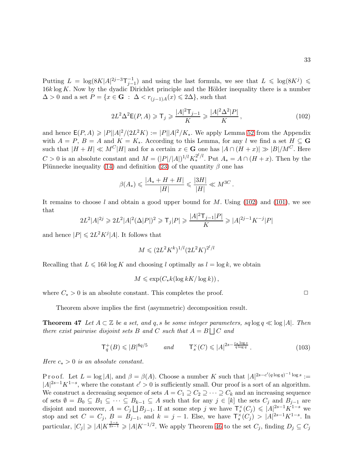Putting  $L = \log(8K|A|^{2j-3}\mathsf{T}_{j-1}^{-1})$  and using the last formula, we see that  $L \leq \log(8K^j) \leq$  $16k \log K$ . Now by the dyadic Dirichlet principle and the Hölder inequality there is a number  $\Delta > 0$  and a set  $P = \{x \in \mathbf{G} : \Delta < r_{(j-1)A}(x) \leq 2\Delta\}$ , such that

<span id="page-32-0"></span>
$$
2L^2\Delta^2 \mathsf{E}(P, A) \geqslant \mathsf{T}_j \geqslant \frac{|A|^2 \mathsf{T}_{j-1}}{K} \geqslant \frac{|A|^2 \Delta^2 |P|}{K},\tag{102}
$$

and hence  $E(P, A) \geqslant |P||A|^2/(2L^2 K) := |P||A|^2/K_*$ . We apply Lemma [52](#page-35-0) from the Appendix with  $A = P$ ,  $B = A$  and  $K = K_*$ . According to this Lemma, for any l we find a set  $H \subseteq \mathbf{G}$ such that  $|H + H| \ll M^C |H|$  and for a certain  $x \in G$  one has  $|A \cap (H + x)| \gg |B|/M^C$ . Here  $C > 0$  is an absolute constant and  $M = (|P|/|A|)^{1/l} K_*^{2^l/l}$ . Put  $A_* = A \cap (H + x)$ . Then by the Plünnecke inequality [\(14\)](#page-5-1) and definition [\(23\)](#page-7-0) of the quantity  $\beta$  one has

$$
\beta(A_*) \leqslant \frac{|A_* + H + H|}{|H|} \leqslant \frac{|3H|}{|H|} \ll M^{3C}.
$$

It remains to choose l and obtain a good upper bound for M. Using  $(102)$  and  $(101)$ , we see that

$$
2L^{2}|A|^{2j} \geq 2L^{2}|A|^{2}(\Delta|P|)^{2} \geq \mathsf{T}_{j}|P| \geq \frac{|A|^{2}\mathsf{T}_{j-1}|P|}{K} \geq |A|^{2j-1}K^{-j}|P|
$$

and hence  $|P| \leq 2L^2 K^j |A|$ . It follows that

$$
M \leqslant (2L^2 K^k)^{1/l} (2L^2 K)^{2^l/l}
$$

Recalling that  $L \leq 16k \log K$  and choosing l optimally as  $l = \log k$ , we obtain

$$
M \leqslant \exp(C_*k(\log kK/\log k)),
$$

where  $C_* > 0$  is an absolute constant. This completes the proof.  $\Box$ 

Theorem above implies the first (asymmetric) decomposition result.

**Theorem 47** Let  $A \subset \mathbb{Z}$  be a set, and q, s be some integer parameters, sq  $\log q \ll \log |A|$ . Then there exist pairwise disjoint sets B and C such that  $A = B \cup C$  and

<span id="page-32-1"></span>
$$
\mathsf{T}_q^+(B) \leqslant |B|^{8q/5} \qquad \text{and} \qquad \mathsf{T}_s^{\times}(C) \leqslant |A|^{2s - \frac{c_* \log s}{q \log q}}. \tag{103}
$$

Here  $c_* > 0$  is an absolute constant.

Proof. Let  $L = \log |A|$ , and  $\beta = \beta(A)$ . Choose a number K such that  $|A|^{2s-c'(q\log q)^{-1}\log s}$  :=  $|A|^{2s-1}K^{1-s}$ , where the constant  $c' > 0$  is sufficiently small. Our proof is a sort of an algorithm. We construct a decreasing sequence of sets  $A = C_1 \supseteq C_2 \supseteq \cdots \supseteq C_k$  and an increasing sequence of sets  $\emptyset = B_0 \subseteq B_1 \subseteq \cdots \subseteq B_{k-1} \subseteq A$  such that for any  $j \in [k]$  the sets  $C_j$  and  $B_{j-1}$  are disjoint and moreover,  $A = C_j \bigsqcup B_{j-1}$ . If at some step j we have  $\mathsf{T}_s^{\times}(C_j) \leqslant |A|^{2s-1} K^{1-s}$  we stop and set  $C = C_j$ ,  $B = B_{j-1}$ , and  $k = j - 1$ . Else, we have  $\mathsf{T}_s^{\times}(C_j) > |A|^{2s-1}K^{1-s}$ . In particular,  $|C_j| \geqslant |A| K^{\frac{1-s}{2s-1}} \geqslant |A| K^{-1/2}$ . We apply Theorem [46](#page-31-3) to the set  $C_j$ , finding  $D_j \subseteq C_j$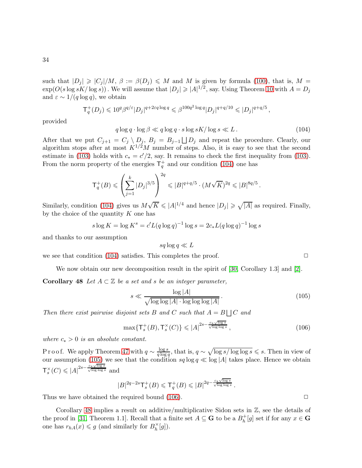such that  $|D_j| \geq C_j |/M, \beta := \beta(D_j) \leq M$  and M is given by formula [\(100\)](#page-31-3), that is, M =  $\exp(O(s \log s K/\log s))$ . We will assume that  $|D_j| \geqslant |A|^{1/2}$ , say. Using Theorem [10](#page-7-5) with  $A = D_j$ and  $\varepsilon \sim 1/(q \log q)$ , we obtain

$$
\mathsf{T}^+_q(D_j) \leqslant 10^q \beta^{q/\varepsilon} |D_j|^{q+2\varepsilon q \log q} \leqslant \beta^{100q^2 \log q} |D_j|^{q+q/10} \leqslant |D_j|^{q+q/5} \,,
$$

provided

<span id="page-33-0"></span> $q \log q \cdot \log \beta \ll q \log q \cdot s \log sK / \log s \ll L$ . (104)

After that we put  $C_{j+1} = C_j \setminus D_j$ ,  $B_j = B_{j-1} \bigsqcup D_j$  and repeat the procedure. Clearly, our algorithm stops after at most  $K^{1/2}M$  number of steps. Also, it is easy to see that the second estimate in [\(103\)](#page-32-1) holds with  $c_* = c'/2$ , say. It remains to check the first inequality from (103). From the norm property of the energies  $\mathsf{T}_q^+$  and our condition [\(104\)](#page-33-0) one has

$$
\mathsf{T}_q^+(B) \leqslant \left(\sum_{j=1}^k |D_j|^{3/5}\right)^{2q} \leqslant |B|^{q+q/5} \cdot (M\sqrt{K})^{2q} \leqslant |B|^{8q/5}.
$$

Similarly, condition [\(104\)](#page-33-0) gives us  $M\sqrt{K} \leqslant |A|^{1/4}$  and hence  $|D_j| \geqslant \sqrt{|A|}$  as required. Finally, by the choice of the quantity  $K$  one has

$$
s \log K = \log K^s = c'L(q \log q)^{-1} \log s = 2c_*L(q \log q)^{-1} \log s
$$

and thanks to our assumption

$$
sq\log q \ll L
$$

we see that condition [\(104\)](#page-33-0) satisfies. This completes the proof.  $\Box$ 

We now obtain our new decomposition result in the spirit of [\[30,](#page-38-8) Corollary 1.3] and [\[2\]](#page-36-5).

Corollary 48 Let  $A \subset \mathbb{Z}$  be a set and s be an integer parameter,

<span id="page-33-1"></span>
$$
s \ll \frac{\log |A|}{\sqrt{\log \log |A| \cdot \log \log \log |A|}}.
$$
\n(105)

Then there exist pairwise disjoint sets B and C such that  $A = B \bigcup C$  and

<span id="page-33-2"></span>
$$
\max\{T_s^+(B), T_s^\times(C)\} \leqslant |A|^{2s - \frac{c_*\sqrt{\log s}}{\sqrt{\log \log s}}},\tag{106}
$$

where  $c_* > 0$  is an absolute constant.

Proof. We apply Theorem [47](#page-32-1) with  $q \sim \frac{\log s}{q \log s}$  $\frac{\log s}{q \log q}$ , that is,  $q \sim \sqrt{\log s / \log \log s} \leq s$ . Then in view of our assumption  $(105)$  we see that the condition  $sq \log q \ll \log |A|$  takes place. Hence we obtain  $\mathsf{T}_{s}^{\times}(C)\leqslant |A|^{2s-\frac{c_*\sqrt{\log s}}{\sqrt{\log\log s}}}$  and

$$
|B|^{2q-2s}\mathsf{T}_{s}^{+}(B)\leqslant \mathsf{T}_{q}^{+}(B)\leqslant |B|^{2q-\frac{c_{*}\sqrt{\log s}}{\sqrt{\log\log s}}}.
$$

Thus we have obtained the required bound  $(106)$ .  $\Box$ 

Corollary [48](#page-33-2) implies a result on additive/multiplicative Sidon sets in  $\mathbb{Z}$ , see the details of the proof in [\[31,](#page-38-9) Theorem 1.1]. Recall that a finite set  $A \subseteq \mathbf{G}$  to be a  $B_h^+$  $h^+[g]$  set if for any  $x \in \mathbf{G}$ one has  $r_{hA}(x) \leq g$  (and similarly for  $B_h^{\times}$  $_h^\times[g]$ ).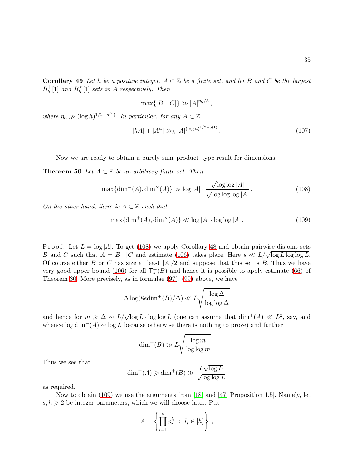**Corollary 49** Let h be a positive integer,  $A \subset \mathbb{Z}$  be a finite set, and let B and C be the largest  $B_h^+$  $h^+$ [1] and  $B_h^{\times}$  $\binom{X}{h}[1]$  sets in A respectively. Then

$$
\max\{|B|,|C|\}\gg |A|^{\eta_h/h},
$$

where  $\eta_h \gg (\log h)^{1/2-o(1)}$ . In particular, for any  $A \subset \mathbb{Z}$ 

$$
|hA| + |A^h| \gg_h |A|^{(\log h)^{1/2 - o(1)}}.
$$
\n(107)

Now we are ready to obtain a purely sum–product–type result for dimensions.

**Theorem 50** Let  $A \subset \mathbb{Z}$  be an arbitrary finite set. Then

<span id="page-34-1"></span>
$$
\max\{\dim^+(A), \dim^\times(A)\} \gg \log|A| \cdot \frac{\sqrt{\log\log|A|}}{\sqrt{\log\log\log|A|}}.\tag{108}
$$

On the other hand, there is  $A \subset \mathbb{Z}$  such that

<span id="page-34-0"></span>
$$
\max\{\dim^+(A), \dim^\times(A)\} \ll \log|A| \cdot \log\log|A|.
$$
 (109)

P r o o f. Let  $L = \log |A|$ . To get [\(108\)](#page-34-1) we apply Corollary [48](#page-33-2) and obtain pairwise disjoint sets B and C such that  $A = B \cup C$  and estimate [\(106\)](#page-33-2) takes place. Here  $s \ll L/\sqrt{\log L \log \log L}$ . Of course either B or C has size at least  $|A|/2$  and suppose that this set is B. Thus we have very good upper bound [\(106\)](#page-33-2) for all  $\mathsf{T}_{s}^{+}(B)$  and hence it is possible to apply estimate [\(66\)](#page-20-1) of Theorem [30.](#page-20-0) More precisely, as in formulae [\(97\)](#page-31-1), [\(99\)](#page-31-4) above, we have

$$
\Delta \log(8e \dim^+(B)/\Delta) \ll L \sqrt{\frac{\log \Delta}{\log \log \Delta}}
$$

and hence for  $m \geq \Delta \sim L/\sqrt{\log L \cdot \log \log L}$  (one can assume that  $\dim^+(A) \ll L^2$ , say, and whence  $\log \dim^+(A) \sim \log L$  because otherwise there is nothing to prove) and further

$$
\dim^+(B) \gg L \sqrt{\frac{\log m}{\log \log m}}.
$$

Thus we see that

$$
\dim^+(A) \geqslant \dim^+(B) \gg \frac{L\sqrt{\log L}}{\sqrt{\log \log L}}
$$

as required.

Now to obtain [\(109\)](#page-34-0) we use the arguments from [\[18\]](#page-37-16) and [\[47,](#page-39-2) Proposition 1.5]. Namely, let  $s, h \geq 2$  be integer parameters, which we will choose later. Put

$$
A = \left\{ \prod_{i=1}^{s} p_i^{l_i} \; : \; l_i \in [h] \right\},\,
$$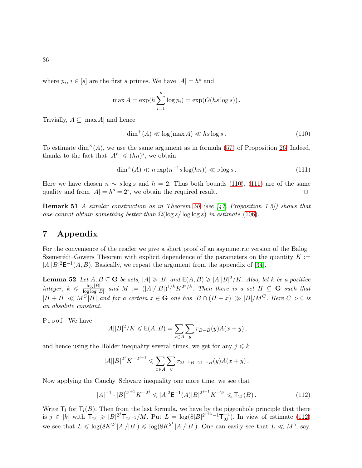where  $p_i, i \in [s]$  are the first s primes. We have  $|A| = h^s$  and

$$
\max A = \exp(h \sum_{i=1}^{s} \log p_i) = \exp(O(hs \log s)).
$$

Trivially,  $A \subseteq [\max A]$  and hence

<span id="page-35-1"></span>
$$
\dim^+(A) \ll \log(\max A) \ll hs \log s. \tag{110}
$$

To estimate dim<sup> $\times$ </sup>(A), we use the same argument as in formula [\(57\)](#page-17-1) of Proposition [26.](#page-17-0) Indeed, thanks to the fact that  $|A^n| \leq (hn)^s$ , we obtain

<span id="page-35-2"></span>
$$
\dim^{\times}(A) \ll n \exp(n^{-1}s \log(hn)) \ll s \log s. \tag{111}
$$

Here we have chosen  $n \sim s \log s$  and  $h = 2$ . Thus both bounds [\(110\)](#page-35-1), [\(111\)](#page-35-2) are of the same quality and from  $|A| = h^s = 2^s$ , we obtain the required result. quality and from  $|A| = h^s = 2^s$ , we obtain the required result.  $\square$ 

**Remark 51** A similar construction as in Theorem [50](#page-34-0) (see [\[47,](#page-39-2) Proposition 1.5]) shows that one cannot obtain something better than  $\Omega(\log s / \log \log s)$  in estimate [\(106\)](#page-33-2).

# 7 Appendix

For the convenience of the reader we give a short proof of an asymmetric version of the Balog– Szemerédi–Gowers Theorem with explicit dependence of the parameters on the quantity  $K :=$  $|A||B|^2 \mathsf{E}^{-1}(A, B)$ . Basically, we repeat the argument from the appendix of [\[34\]](#page-38-17).

<span id="page-35-0"></span>**Lemma 52** Let  $A, B \subseteq G$  be sets,  $|A| \geq |B|$  and  $E(A, B) \geq |A||B|^2/K$ . Also, let k be a positive integer,  $k \leqslant \frac{\log |B|}{\log \log |B|}$  $\frac{\log |B|}{\log \log |B|}$  and  $M := (|A|/|B|)^{1/k} K^{2^k/k}$ . Then there is a set  $H \subseteq G$  such that  $|H + H| \ll M^{C[H]}$  and for a certain  $x \in G$  one has  $|B \cap (H + x)| \gg |B|/M^{C}$ . Here  $C > 0$  is an absolute constant.

Proof. We have

$$
|A||B|^2/K \le \mathsf{E}(A,B) = \sum_{x \in A} \sum_{y} r_{B-B}(y)A(x+y),
$$

and hence using the Hölder inequality several times, we get for any  $j \leq k$ 

$$
|A||B|^{2^j} K^{-2^{j-1}} \leq \sum_{x \in A} \sum_{y} r_{2^{j-1}B - 2^{j-1}B}(y) A(x + y) .
$$

Now applying the Cauchy–Schwarz inequality one more time, we see that

<span id="page-35-3"></span>
$$
|A|^{-1} \cdot |B|^{2^{j+1}} K^{-2^j} \leqslant |A|^2 \mathsf{E}^{-1}(A) |B|^{2^{j+1}} K^{-2^j} \leqslant \mathsf{T}_{2^j}(B). \tag{112}
$$

Write  $T_l$  for  $T_l(B)$ . Then from the last formula, we have by the pigeonhole principle that there is  $j \in [k]$  with  $\mathsf{T}_{2^j} \geqslant |B|^{2^j} \mathsf{T}_{2^{j-1}}/M$ . Put  $L = \log(8|B|^{2^{j+1}-1} \mathsf{T}_{2^j}^{-1})$  $\frac{-1}{2^j}$ ). In view of estimate [\(112\)](#page-35-3) we see that  $L \leq \log(8K^{2^{j}}|A|/|B|) \leq \log(8K^{2^{k}}|A|/|B|)$ . One can easily see that  $L \ll M^{5}$ , say.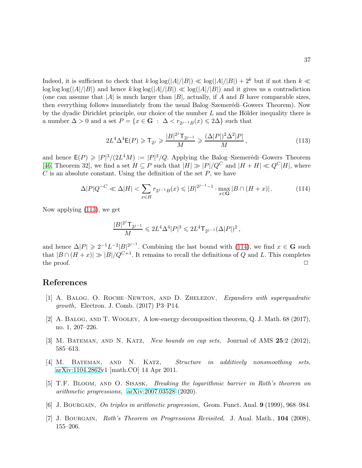Indeed, it is sufficient to check that  $k \log \log(|A|/|B|) \ll \log(|A|/|B|) + 2^k$  but if not then  $k \ll$  $\log \log (|A|/|B|)$  and hence  $k \log \log (|A|/|B|) \ll \log (|A|/|B|)$  and it gives us a contradiction (one can assume that  $|A|$  is much larger than  $|B|$ , actually, if A and B have comparable sizes, then everything follows immediately from the usual Balog–Szemerédi–Gowers Theorem). Now by the dyadic Dirichlet principle, our choice of the number  $L$  and the Hölder inequality there is a number  $\Delta > 0$  and a set  $P = \{x \in \mathbf{G} : \Delta < r_{2^{j-1}B}(x) \leq 2\Delta\}$  such that

<span id="page-36-7"></span>
$$
2L^{4}\Delta^{4}\mathsf{E}(P) \geqslant \mathsf{T}_{2^{j}} \geqslant \frac{|B|^{2^{j}}\mathsf{T}_{2^{j-1}}}{M} \geqslant \frac{(\Delta|P|)^{2}\Delta^{2}|P|}{M},\tag{113}
$$

and hence  $E(P) \geqslant |P|^3/(2L^4M) := |P|^3/Q$ . Applying the Balog–Szemerédi–Gowers Theorem [\[46,](#page-39-1) Theorem 32], we find a set  $H \subseteq P$  such that  $|H| \gg |P|/Q^C$  and  $|H + H| \ll Q^C|H|$ , where  $C$  is an absolute constant. Using the definition of the set  $P$ , we have

<span id="page-36-8"></span>
$$
\Delta|P|Q^{-C} \ll \Delta|H| < \sum_{x \in H} r_{2^{j-1}B}(x) \leq |B|^{2^{j-1}-1} \cdot \max_{x \in \mathbf{G}} |B \cap (H+x)|. \tag{114}
$$

Now applying [\(113\)](#page-36-7), we get

$$
\frac{|B|^{2^j}{\mathsf{T}}_{2^{j-1}}}{M} \leqslant 2 L^4 \Delta^4 |P|^3 \leqslant 2 L^4 {\mathsf{T}}_{2^{j-1}} (\Delta |P|)^2 \,,
$$

and hence  $\Delta |P| \geq 2^{-1} L^{-2} |B|^{2^{j-1}}$ . Combining the last bound with [\(114\)](#page-36-8), we find  $x \in G$  such that  $|B \cap (H + x)| \gg |B|/Q^{C+1}$ . It remains to recall the definitions of Q and L. This completes the proof. the proof.  $\Box$ 

### <span id="page-36-6"></span>References

- <span id="page-36-5"></span>[1] A. Balog, O. Roche–Newton, and D. Zhelezov, Expanders with superquadratic growth, Electron. J. Comb. (2017) P3–P14.
- <span id="page-36-0"></span>[2] A. Balog, and T. Wooley, A low-energy decomposition theorem, Q. J. Math. 68 (2017), no. 1, 207–226.
- <span id="page-36-1"></span>[3] M. BATEMAN, AND N. KATZ, New bounds on cap sets, Journal of AMS 25:2 (2012), 585–613.
- [4] M. Bateman, and N. Katz, Structure in additively nonsmoothing sets, [arXiv:1104.2862v](http://arxiv.org/abs/1104.2862)1 [math.CO] 14 Apr 2011.
- <span id="page-36-2"></span>[5] T.F. Bloom, and O. Sisask, Breaking the logarithmic barrier in Roth's theorem on arithmetic progressions, [arXiv:2007.03528](http://arxiv.org/abs/2007.03528) (2020).
- <span id="page-36-4"></span><span id="page-36-3"></span>[6] J. BOURGAIN, On triples in arithmetic progression, Geom. Funct. Anal. 9 (1999), 968–984.
- [7] J. BOURGAIN, Roth's Theorem on Progressions Revisited, J. Anal. Math., 104 (2008), 155–206.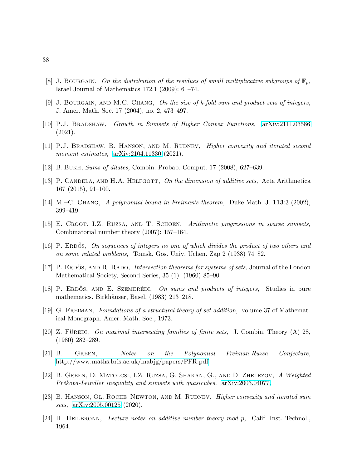- <span id="page-37-5"></span><span id="page-37-3"></span>[8] J. BOURGAIN, On the distribution of the residues of small multiplicative subgroups of  $\mathbb{F}_p$ , Israel Journal of Mathematics 172.1 (2009): 61–74.
- <span id="page-37-13"></span>[9] J. BOURGAIN, AND M.C. CHANG, On the size of k-fold sum and product sets of integers, J. Amer. Math. Soc. 17 (2004), no. 2, 473–497.
- <span id="page-37-14"></span>[10] P.J. Bradshaw, Growth in Sumsets of Higher Convex Functions, [arXiv:2111.03586](http://arxiv.org/abs/2111.03586) (2021).
- <span id="page-37-9"></span>[11] P.J. BRADSHAW, B. HANSON, AND M. RUDNEV, *Higher convexity and iterated second* moment estimates,  $arXiv:2104.11330$  (2021).
- <span id="page-37-7"></span>[12] B. Bukh, Sums of dilates, Combin. Probab. Comput. 17 (2008), 627–639.
- <span id="page-37-0"></span>[13] P. CANDELA, AND H.A. HELFGOTT, On the dimension of additive sets, Acta Arithmetica 167 (2015), 91–100.
- <span id="page-37-6"></span>[14] M.–C. Chang, A polynomial bound in Freiman's theorem, Duke Math. J. 113:3 (2002), 399–419.
- <span id="page-37-12"></span>[15] E. Croot, I.Z. Ruzsa, and T. Schoen, Arithmetic progressions in sparse sumsets, Combinatorial number theory (2007): 157–164.
- <span id="page-37-10"></span>[16] P. ERDOS, On sequences of integers no one of which divides the product of two others and on some related problems, Tomsk. Gos. Univ. Uchen. Zap 2 (1938) 74–82.
- [17] P. ERDOS, AND R. RADO, *Intersection theorems for systems of sets*, Journal of the London Mathematical Society, Second Series, 35 (1): (1960) 85–90
- <span id="page-37-16"></span>[18] P. ERDŐS, AND E. SZEMERÉDI, On sums and products of integers, Studies in pure mathematics. Birkhäuser, Basel, (1983) 213–218.
- <span id="page-37-11"></span><span id="page-37-2"></span>[19] G. Freiman, Foundations of a structural theory of set addition, volume 37 of Mathematical Monograph. Amer. Math. Soc., 1973.
- [20] Z. FÜREDI, On maximal intersecting families of finite sets, J. Combin. Theory  $(A)$  28, (1980) 282–289.
- <span id="page-37-1"></span>[21] B. Green, Notes on the Polynomial Freiman-Ruzsa Conjecture, <http://www.maths.bris.ac.uk/mabjg/papers/PFR.pdf>
- <span id="page-37-8"></span>[22] B. Green, D. Matolcsi, I.Z. Ruzsa, G. Shakan, G., and D. Zhelezov, A Weighted Prékopa-Leindler inequality and sumsets with quasicubes, [arXiv:2003.04077.](http://arxiv.org/abs/2003.04077)
- <span id="page-37-15"></span>[23] B. HANSON, OL. ROCHE–NEWTON, AND M. RUDNEV, *Higher convexity and iterated sum* sets, [arXiv:2005.00125](http://arxiv.org/abs/2005.00125) (2020).
- <span id="page-37-4"></span>[24] H. Heilbronn, Lecture notes on additive number theory mod p, Calif. Inst. Technol., 1964.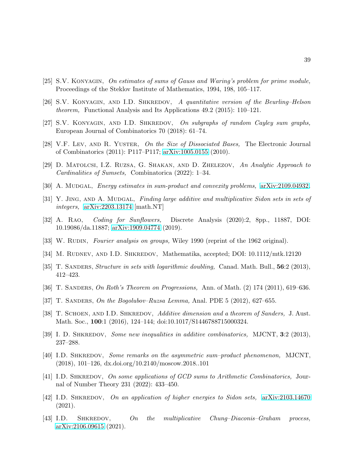- <span id="page-38-7"></span><span id="page-38-1"></span>[25] S.V. Konyagin, On estimates of sums of Gauss and Waring's problem for prime module, Proceedings of the Steklov Institute of Mathematics, 1994, 198, 105–117.
- <span id="page-38-2"></span>[26] S.V. KONYAGIN, AND I.D. SHKREDOV, A quantitative version of the Beurling–Helson theorem, Functional Analysis and Its Applications 49.2 (2015): 110–121.
- <span id="page-38-11"></span>[27] S.V. KONYAGIN, AND I.D. SHKREDOV, On subgraphs of random Cayley sum graphs, European Journal of Combinatorics 70 (2018): 61–74.
- <span id="page-38-12"></span>[28] V.F. Lev, AND R. YUSTER, On the Size of Dissociated Bases, The Electronic Journal of Combinatorics (2011): P117–P117; [arXiv:1005.0155](http://arxiv.org/abs/1005.0155) (2010).
- <span id="page-38-8"></span>[29] D. Matolcsi, I.Z. Ruzsa, G. Shakan, and D. Zhelezov, An Analytic Approach to Cardinalities of Sumsets, Combinatorica (2022): 1–34.
- <span id="page-38-9"></span>[30] A. MUDGAL, *Energy estimates in sum-product and convexity problems, [arXiv:2109.04932.](http://arxiv.org/abs/2109.04932)*
- <span id="page-38-13"></span>[31] Y. JING, AND A. MUDGAL, Finding large additive and multiplicative Sidon sets in sets of integers, [arXiv:2203.13174](http://arxiv.org/abs/2203.13174) [math.NT]
- [32] A. Rao, Coding for Sunflowers, Discrete Analysis (2020):2, 8pp., 11887, DOI: 10.19086/da.11887; [arXiv:1909.04774](http://arxiv.org/abs/1909.04774) (2019).
- <span id="page-38-17"></span><span id="page-38-0"></span>[33] W. RUDIN, Fourier analysis on groups, Wiley 1990 (reprint of the 1962 original).
- <span id="page-38-3"></span>[34] M. RUDNEV, AND I.D. SHKREDOV, Mathematika, accepted; DOI:  $10.1112/mtk.12120$
- <span id="page-38-4"></span>[35] T. SANDERS, Structure in sets with logarithmic doubling, Canad. Math. Bull., 56:2 (2013), 412–423.
- <span id="page-38-14"></span>[36] T. SANDERS, On Roth's Theorem on Progressions, Ann. of Math. (2) 174 (2011), 619–636.
- <span id="page-38-5"></span>[37] T. SANDERS, On the Bogolubov–Ruzsa Lemma, Anal. PDE 5 (2012), 627–655.
- [38] T. SCHOEN, AND I.D. SHKREDOV, Additive dimension and a theorem of Sanders, J. Aust. Math. Soc., 100:1 (2016), 124–144; doi:10.1017/S1446788715000324.
- <span id="page-38-16"></span><span id="page-38-6"></span>[39] I. D. SHKREDOV, Some new inequalities in additive combinatorics, MJCNT, 3:2 (2013), 237–288.
- [40] I.D. SHKREDOV, Some remarks on the asymmetric sum-product phenomenon, MJCNT, (2018), 101–126, dx.doi.org/10.2140/moscow.2018..101
- <span id="page-38-15"></span>[41] I.D. SHKREDOV, On some applications of GCD sums to Arithmetic Combinatorics, Journal of Number Theory 231 (2022): 433–450.
- <span id="page-38-10"></span>[42] I.D. SHKREDOV, On an application of higher energies to Sidon sets,  $arXiv:2103.14670$ (2021).
- [43] I.D. SHKREDOV, On the multiplicative Chung–Diaconis–Graham process, [arXiv:2106.09615](http://arxiv.org/abs/2106.09615) (2021).